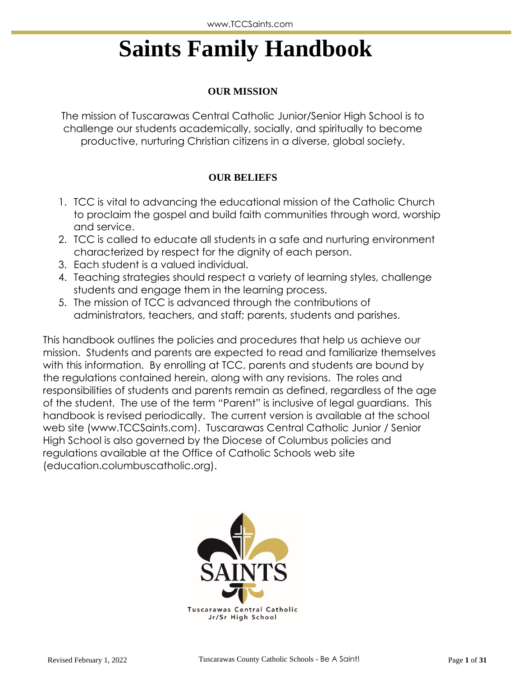# **Saints Family Handbook**

## **OUR MISSION**

The mission of Tuscarawas Central Catholic Junior/Senior High School is to challenge our students academically, socially, and spiritually to become productive, nurturing Christian citizens in a diverse, global society.

## **OUR BELIEFS**

- 1. TCC is vital to advancing the educational mission of the Catholic Church to proclaim the gospel and build faith communities through word, worship and service.
- 2. TCC is called to educate all students in a safe and nurturing environment characterized by respect for the dignity of each person.
- 3. Each student is a valued individual.
- 4. Teaching strategies should respect a variety of learning styles, challenge students and engage them in the learning process.
- 5. The mission of TCC is advanced through the contributions of administrators, teachers, and staff; parents, students and parishes.

This handbook outlines the policies and procedures that help us achieve our mission. Students and parents are expected to read and familiarize themselves with this information. By enrolling at TCC, parents and students are bound by the regulations contained herein, along with any revisions. The roles and responsibilities of students and parents remain as defined, regardless of the age of the student. The use of the term "Parent" is inclusive of legal guardians. This handbook is revised periodically. The current version is available at the school web site (www.TCCSaints.com). Tuscarawas Central Catholic Junior / Senior High School is also governed by the Diocese of Columbus policies and regulations available at the Office of Catholic Schools web site (education.columbuscatholic.org).

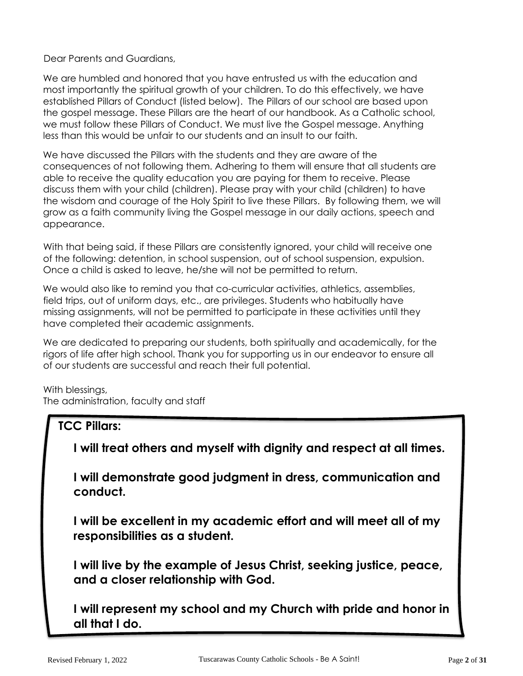Dear Parents and Guardians,

We are humbled and honored that you have entrusted us with the education and most importantly the spiritual growth of your children. To do this effectively, we have established Pillars of Conduct (listed below). The Pillars of our school are based upon the gospel message. These Pillars are the heart of our handbook. As a Catholic school, we must follow these Pillars of Conduct. We must live the Gospel message. Anything less than this would be unfair to our students and an insult to our faith.

We have discussed the Pillars with the students and they are aware of the consequences of not following them. Adhering to them will ensure that all students are able to receive the quality education you are paying for them to receive. Please discuss them with your child (children). Please pray with your child (children) to have the wisdom and courage of the Holy Spirit to live these Pillars. By following them, we will grow as a faith community living the Gospel message in our daily actions, speech and appearance.

With that being said, if these Pillars are consistently ignored, your child will receive one of the following: detention, in school suspension, out of school suspension, expulsion. Once a child is asked to leave, he/she will not be permitted to return.

We would also like to remind you that co-curricular activities, athletics, assemblies, field trips, out of uniform days, etc., are privileges. Students who habitually have missing assignments, will not be permitted to participate in these activities until they have completed their academic assignments.

We are dedicated to preparing our students, both spiritually and academically, for the rigors of life after high school. Thank you for supporting us in our endeavor to ensure all of our students are successful and reach their full potential.

With blessings, The administration, faculty and staff

## **TCC Pillars: I will treat others and myself with dignity and respect at all times.**

**I will demonstrate good judgment in dress, communication and conduct.**

**I will be excellent in my academic effort and will meet all of my responsibilities as a student.**

**I will live by the example of Jesus Christ, seeking justice, peace, and a closer relationship with God.**

**I will represent my school and my Church with pride and honor in all that I do.**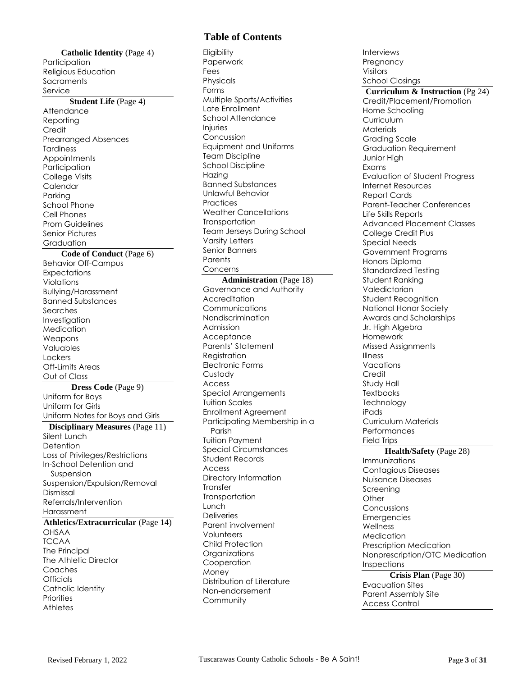#### **Catholic Identity** (Page 4) **Participation** Religious Education **Sacraments** Service

#### **Student Life** (Page 4)

**Attendance** Reporting **Credit** Prearranged Absences Tardiness **Appointments** Participation College Visits Calendar Parking School Phone Cell Phones Prom Guidelines Senior Pictures Graduation

#### **Code of Conduct** (Page 6)

Behavior Off-Campus **Expectations** Violations Bullying/Harassment Banned Substances Searches Investigation **Medication** Weapons Valuables Lockers Off-Limits Areas Out of Class

**Dress Code** (Page 9) Uniform for Boys Uniform for Girls Uniform Notes for Boys and Girls

**Disciplinary Measures** (Page 11) Silent Lunch **Detention** Loss of Privileges/Restrictions In-School Detention and Suspension Suspension/Expulsion/Removal Dismissal Referrals/Intervention Harassment **Athletics/Extracurricular** (Page 14) OHSAA **TCCAA** The Principal The Athletic Director Coaches **Officials** Catholic Identity

## **Table of Contents**

**Eligibility** Paperwork Fees Physicals Forms Multiple Sports/Activities Late Enrollment School Attendance Injuries Concussion Equipment and Uniforms Team Discipline School Discipline Hazing Banned Substances Unlawful Behavior **Practices** Weather Cancellations **Transportation** Team Jerseys During School Varsity Letters Senior Banners **Parents** Concerns

**Administration** (Page 18) Governance and Authority Accreditation Communications Nondiscrimination Admission **Acceptance** Parents' Statement Registration Electronic Forms Custody Access Special Arrangements Tuition Scales Enrollment Agreement Participating Membership in a Parish Tuition Payment Special Circumstances Student Records Access Directory Information **Transfer Transportation** Lunch **Deliveries** Parent involvement Volunteers Child Protection **Organizations Cooperation** Money Distribution of Literature Non-endorsement Community

Interviews Pregnancy Visitors School Closings **Curriculum & Instruction** (Pg 24) Credit/Placement/Promotion Home Schooling **Curriculum Materials** Grading Scale Graduation Requirement Junior High Exams Evaluation of Student Progress Internet Resources Report Cards Parent-Teacher Conferences Life Skills Reports Advanced Placement Classes College Credit Plus Special Needs Government Programs Honors Diploma Standardized Testing Student Ranking Valedictorian Student Recognition National Honor Society Awards and Scholarships Jr. High Algebra Homework Missed Assignments Illness Vacations **Credit** Study Hall **Textbooks Technology** iPads Curriculum Materials Performances Field Trips **Health/Safety** (Page 28) Immunizations Contagious Diseases Nuisance Diseases Screening **Other** Concussions Emergencies **Wellness** Medication Prescription Medication Nonprescription/OTC Medication Inspections **Crisis Plan** (Page 30) Evacuation Sites Parent Assembly Site

**Priorities Athletes** 

Access Control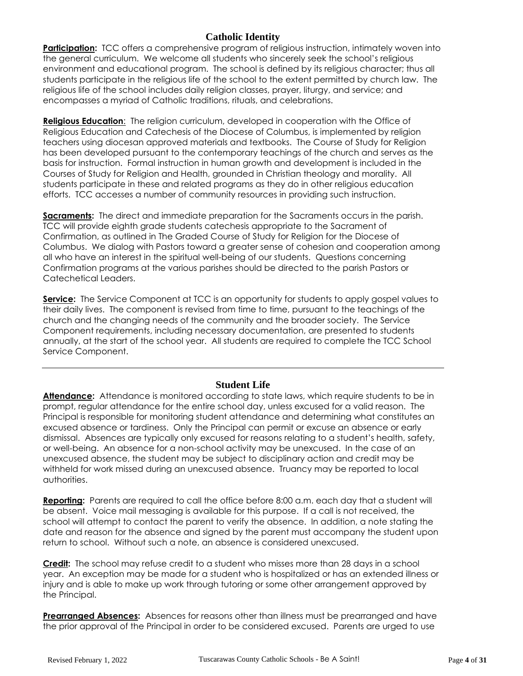## **Catholic Identity**

**Participation:** TCC offers a comprehensive program of religious instruction, intimately woven into the general curriculum. We welcome all students who sincerely seek the school's religious environment and educational program. The school is defined by its religious character; thus all students participate in the religious life of the school to the extent permitted by church law. The religious life of the school includes daily religion classes, prayer, liturgy, and service; and encompasses a myriad of Catholic traditions, rituals, and celebrations.

**Religious Education**: The religion curriculum, developed in cooperation with the Office of Religious Education and Catechesis of the Diocese of Columbus, is implemented by religion teachers using diocesan approved materials and textbooks. The Course of Study for Religion has been developed pursuant to the contemporary teachings of the church and serves as the basis for instruction. Formal instruction in human growth and development is included in the Courses of Study for Religion and Health, grounded in Christian theology and morality. All students participate in these and related programs as they do in other religious education efforts. TCC accesses a number of community resources in providing such instruction.

**Sacraments:** The direct and immediate preparation for the Sacraments occurs in the parish. TCC will provide eighth grade students catechesis appropriate to the Sacrament of Confirmation, as outlined in The Graded Course of Study for Religion for the Diocese of Columbus. We dialog with Pastors toward a greater sense of cohesion and cooperation among all who have an interest in the spiritual well-being of our students. Questions concerning Confirmation programs at the various parishes should be directed to the parish Pastors or Catechetical Leaders.

**Service:** The Service Component at TCC is an opportunity for students to apply gospel values to their daily lives. The component is revised from time to time, pursuant to the teachings of the church and the changing needs of the community and the broader society. The Service Component requirements, including necessary documentation, are presented to students annually, at the start of the school year. All students are required to complete the TCC School Service Component.

## **Student Life**

**Attendance:** Attendance is monitored according to state laws, which require students to be in prompt, regular attendance for the entire school day, unless excused for a valid reason. The Principal is responsible for monitoring student attendance and determining what constitutes an excused absence or tardiness. Only the Principal can permit or excuse an absence or early dismissal. Absences are typically only excused for reasons relating to a student's health, safety, or well-being. An absence for a non-school activity may be unexcused. In the case of an unexcused absence, the student may be subject to disciplinary action and credit may be withheld for work missed during an unexcused absence. Truancy may be reported to local authorities.

**Reporting:** Parents are required to call the office before 8:00 a.m. each day that a student will be absent. Voice mail messaging is available for this purpose. If a call is not received, the school will attempt to contact the parent to verify the absence. In addition, a note stating the date and reason for the absence and signed by the parent must accompany the student upon return to school. Without such a note, an absence is considered unexcused.

**Credit:** The school may refuse credit to a student who misses more than 28 days in a school year. An exception may be made for a student who is hospitalized or has an extended illness or injury and is able to make up work through tutoring or some other arrangement approved by the Principal.

**Prearranged Absences:** Absences for reasons other than illness must be prearranged and have the prior approval of the Principal in order to be considered excused. Parents are urged to use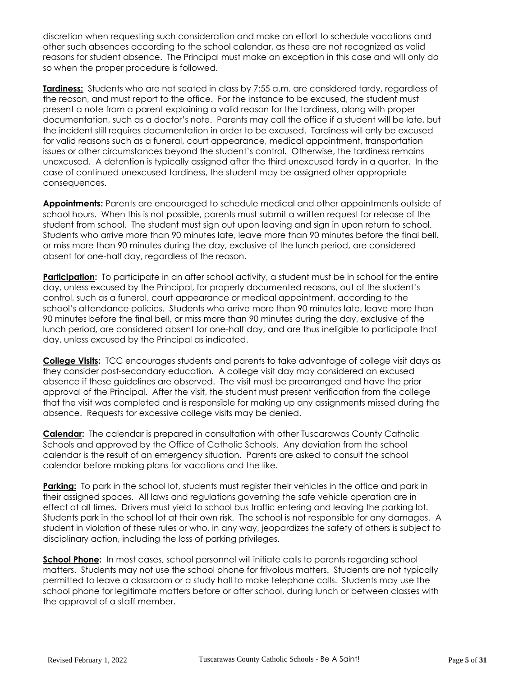discretion when requesting such consideration and make an effort to schedule vacations and other such absences according to the school calendar, as these are not recognized as valid reasons for student absence. The Principal must make an exception in this case and will only do so when the proper procedure is followed.

**Tardiness:** Students who are not seated in class by 7:55 a.m. are considered tardy, regardless of the reason, and must report to the office. For the instance to be excused, the student must present a note from a parent explaining a valid reason for the tardiness, along with proper documentation, such as a doctor's note. Parents may call the office if a student will be late, but the incident still requires documentation in order to be excused. Tardiness will only be excused for valid reasons such as a funeral, court appearance, medical appointment, transportation issues or other circumstances beyond the student's control. Otherwise, the tardiness remains unexcused. A detention is typically assigned after the third unexcused tardy in a quarter. In the case of continued unexcused tardiness, the student may be assigned other appropriate consequences.

**Appointments:** Parents are encouraged to schedule medical and other appointments outside of school hours. When this is not possible, parents must submit a written request for release of the student from school. The student must sign out upon leaving and sign in upon return to school. Students who arrive more than 90 minutes late, leave more than 90 minutes before the final bell, or miss more than 90 minutes during the day, exclusive of the lunch period, are considered absent for one-half day, regardless of the reason.

**Participation:** To participate in an after school activity, a student must be in school for the entire day, unless excused by the Principal, for properly documented reasons, out of the student's control, such as a funeral, court appearance or medical appointment, according to the school's attendance policies. Students who arrive more than 90 minutes late, leave more than 90 minutes before the final bell, or miss more than 90 minutes during the day, exclusive of the lunch period, are considered absent for one-half day, and are thus ineligible to participate that day, unless excused by the Principal as indicated.

**College Visits:** TCC encourages students and parents to take advantage of college visit days as they consider post-secondary education. A college visit day may considered an excused absence if these guidelines are observed. The visit must be prearranged and have the prior approval of the Principal. After the visit, the student must present verification from the college that the visit was completed and is responsible for making up any assignments missed during the absence. Requests for excessive college visits may be denied.

**Calendar:** The calendar is prepared in consultation with other Tuscarawas County Catholic Schools and approved by the Office of Catholic Schools. Any deviation from the school calendar is the result of an emergency situation. Parents are asked to consult the school calendar before making plans for vacations and the like.

**Parking:** To park in the school lot, students must register their vehicles in the office and park in their assigned spaces. All laws and regulations governing the safe vehicle operation are in effect at all times. Drivers must yield to school bus traffic entering and leaving the parking lot. Students park in the school lot at their own risk. The school is not responsible for any damages. A student in violation of these rules or who, in any way, jeopardizes the safety of others is subject to disciplinary action, including the loss of parking privileges.

**School Phone:** In most cases, school personnel will initiate calls to parents regarding school matters. Students may not use the school phone for frivolous matters. Students are not typically permitted to leave a classroom or a study hall to make telephone calls. Students may use the school phone for legitimate matters before or after school, during lunch or between classes with the approval of a staff member.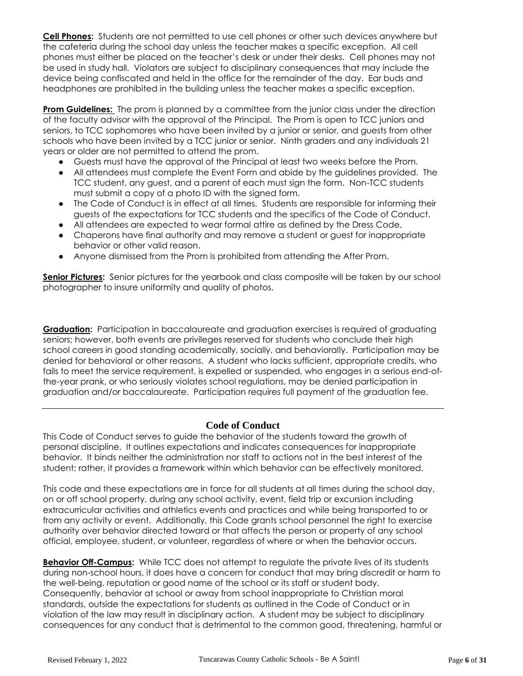**Cell Phones:** Students are not permitted to use cell phones or other such devices anywhere but the cafeteria during the school day unless the teacher makes a specific exception. All cell phones must either be placed on the teacher's desk or under their desks. Cell phones may not be used in study hall. Violators are subject to disciplinary consequences that may include the device being confiscated and held in the office for the remainder of the day. Ear buds and headphones are prohibited in the building unless the teacher makes a specific exception.

**Prom Guidelines:** The prom is planned by a committee from the junior class under the direction of the faculty advisor with the approval of the Principal. The Prom is open to TCC juniors and seniors, to TCC sophomores who have been invited by a junior or senior, and guests from other schools who have been invited by a TCC junior or senior. Ninth graders and any individuals 21 years or older are not permitted to attend the prom.

- Guests must have the approval of the Principal at least two weeks before the Prom.
- All attendees must complete the Event Form and abide by the guidelines provided. The TCC student, any guest, and a parent of each must sign the form. Non-TCC students must submit a copy of a photo ID with the signed form.
- The Code of Conduct is in effect at all times. Students are responsible for informing their guests of the expectations for TCC students and the specifics of the Code of Conduct.
- All attendees are expected to wear formal attire as defined by the Dress Code.
- Chaperons have final authority and may remove a student or guest for inappropriate behavior or other valid reason.
- Anyone dismissed from the Prom is prohibited from attending the After Prom.

**Senior Pictures:** Senior pictures for the yearbook and class composite will be taken by our school photographer to insure uniformity and quality of photos.

**Graduation:** Participation in baccalaureate and graduation exercises is required of graduating seniors; however, both events are privileges reserved for students who conclude their high school careers in good standing academically, socially, and behaviorally. Participation may be denied for behavioral or other reasons. A student who lacks sufficient, appropriate credits, who fails to meet the service requirement, is expelled or suspended, who engages in a serious end-ofthe-year prank, or who seriously violates school regulations, may be denied participation in graduation and/or baccalaureate. Participation requires full payment of the graduation fee.

## **Code of Conduct**

This Code of Conduct serves to guide the behavior of the students toward the growth of personal discipline. It outlines expectations and indicates consequences for inappropriate behavior. It binds neither the administration nor staff to actions not in the best interest of the student; rather, it provides a framework within which behavior can be effectively monitored.

This code and these expectations are in force for all students at all times during the school day, on or off school property, during any school activity, event, field trip or excursion including extracurricular activities and athletics events and practices and while being transported to or from any activity or event. Additionally, this Code grants school personnel the right to exercise authority over behavior directed toward or that affects the person or property of any school official, employee, student, or volunteer, regardless of where or when the behavior occurs.

**Behavior Off-Campus:** While TCC does not attempt to regulate the private lives of its students during non-school hours, it does have a concern for conduct that may bring discredit or harm to the well-being, reputation or good name of the school or its staff or student body. Consequently, behavior at school or away from school inappropriate to Christian moral standards, outside the expectations for students as outlined in the Code of Conduct or in violation of the law may result in disciplinary action. A student may be subject to disciplinary consequences for any conduct that is detrimental to the common good, threatening, harmful or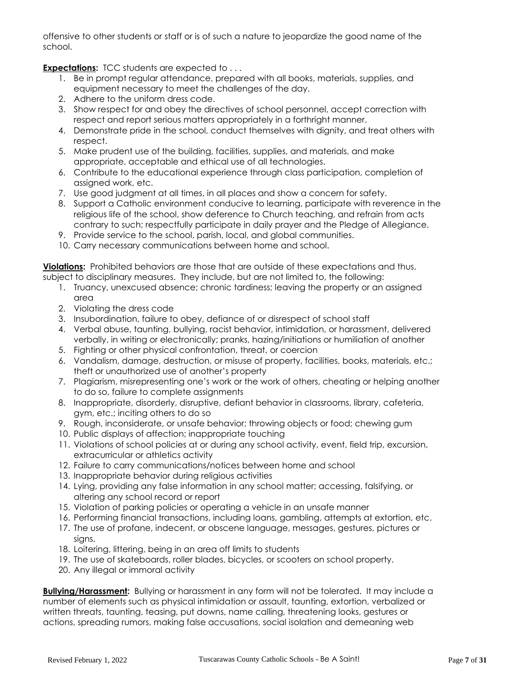offensive to other students or staff or is of such a nature to jeopardize the good name of the school.

**Expectations:** TCC students are expected to . . .

- 1. Be in prompt regular attendance, prepared with all books, materials, supplies, and equipment necessary to meet the challenges of the day.
- 2. Adhere to the uniform dress code.
- 3. Show respect for and obey the directives of school personnel, accept correction with respect and report serious matters appropriately in a forthright manner.
- 4. Demonstrate pride in the school, conduct themselves with dignity, and treat others with respect.
- 5. Make prudent use of the building, facilities, supplies, and materials, and make appropriate, acceptable and ethical use of all technologies.
- 6. Contribute to the educational experience through class participation, completion of assigned work, etc.
- 7. Use good judgment at all times, in all places and show a concern for safety.
- 8. Support a Catholic environment conducive to learning, participate with reverence in the religious life of the school, show deference to Church teaching, and refrain from acts contrary to such; respectfully participate in daily prayer and the Pledge of Allegiance.
- 9. Provide service to the school, parish, local, and global communities.
- 10. Carry necessary communications between home and school.

**Violations:** Prohibited behaviors are those that are outside of these expectations and thus, subject to disciplinary measures. They include, but are not limited to, the following:

- 1. Truancy, unexcused absence; chronic tardiness; leaving the property or an assigned area
- 2. Violating the dress code
- 3. Insubordination, failure to obey, defiance of or disrespect of school staff
- 4. Verbal abuse, taunting, bullying, racist behavior, intimidation, or harassment, delivered verbally, in writing or electronically; pranks, hazing/initiations or humiliation of another
- 5. Fighting or other physical confrontation, threat, or coercion
- 6. Vandalism, damage, destruction, or misuse of property, facilities, books, materials, etc.; theft or unauthorized use of another's property
- 7. Plagiarism, misrepresenting one's work or the work of others, cheating or helping another to do so, failure to complete assignments
- 8. Inappropriate, disorderly, disruptive, defiant behavior in classrooms, library, cafeteria, gym, etc.; inciting others to do so
- 9. Rough, inconsiderate, or unsafe behavior; throwing objects or food; chewing gum
- 10. Public displays of affection; inappropriate touching
- 11. Violations of school policies at or during any school activity, event, field trip, excursion, extracurricular or athletics activity
- 12. Failure to carry communications/notices between home and school
- 13. Inappropriate behavior during religious activities
- 14. Lying, providing any false information in any school matter; accessing, falsifying, or altering any school record or report
- 15. Violation of parking policies or operating a vehicle in an unsafe manner
- 16. Performing financial transactions, including loans, gambling, attempts at extortion, etc.
- 17. The use of profane, indecent, or obscene language, messages, gestures, pictures or signs.
- 18. Loitering, littering, being in an area off limits to students
- 19. The use of skateboards, roller blades, bicycles, or scooters on school property.
- 20. Any illegal or immoral activity

**Bullying/Harassment:** Bullying or harassment in any form will not be tolerated. It may include a number of elements such as physical intimidation or assault, taunting, extortion, verbalized or written threats, taunting, teasing, put downs, name calling, threatening looks, gestures or actions, spreading rumors, making false accusations, social isolation and demeaning web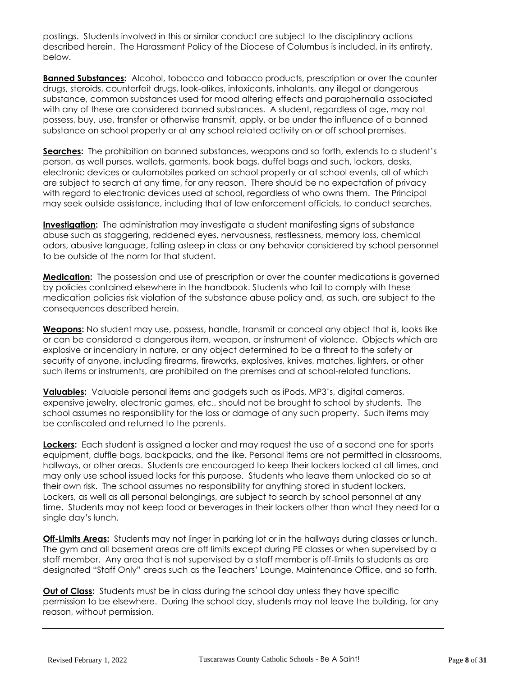postings. Students involved in this or similar conduct are subject to the disciplinary actions described herein. The Harassment Policy of the Diocese of Columbus is included, in its entirety, below.

**Banned Substances:** Alcohol, tobacco and tobacco products, prescription or over the counter drugs, steroids, counterfeit drugs, look-alikes, intoxicants, inhalants, any illegal or dangerous substance, common substances used for mood altering effects and paraphernalia associated with any of these are considered banned substances. A student, regardless of age, may not possess, buy, use, transfer or otherwise transmit, apply, or be under the influence of a banned substance on school property or at any school related activity on or off school premises.

**Searches:** The prohibition on banned substances, weapons and so forth, extends to a student's person, as well purses, wallets, garments, book bags, duffel bags and such, lockers, desks, electronic devices or automobiles parked on school property or at school events, all of which are subject to search at any time, for any reason. There should be no expectation of privacy with regard to electronic devices used at school, regardless of who owns them. The Principal may seek outside assistance, including that of law enforcement officials, to conduct searches.

**Investigation:** The administration may investigate a student manifesting signs of substance abuse such as staggering, reddened eyes, nervousness, restlessness, memory loss, chemical odors, abusive language, falling asleep in class or any behavior considered by school personnel to be outside of the norm for that student.

**Medication:** The possession and use of prescription or over the counter medications is governed by policies contained elsewhere in the handbook. Students who fail to comply with these medication policies risk violation of the substance abuse policy and, as such, are subject to the consequences described herein.

**Weapons:** No student may use, possess, handle, transmit or conceal any object that is, looks like or can be considered a dangerous item, weapon, or instrument of violence. Objects which are explosive or incendiary in nature, or any object determined to be a threat to the safety or security of anyone, including firearms, fireworks, explosives, knives, matches, lighters, or other such items or instruments, are prohibited on the premises and at school-related functions.

**Valuables:** Valuable personal items and gadgets such as iPods, MP3's, digital cameras, expensive jewelry, electronic games, etc., should not be brought to school by students. The school assumes no responsibility for the loss or damage of any such property. Such items may be confiscated and returned to the parents.

**Lockers:** Each student is assigned a locker and may request the use of a second one for sports equipment, duffle bags, backpacks, and the like. Personal items are not permitted in classrooms, hallways, or other areas. Students are encouraged to keep their lockers locked at all times, and may only use school issued locks for this purpose. Students who leave them unlocked do so at their own risk. The school assumes no responsibility for anything stored in student lockers. Lockers, as well as all personal belongings, are subject to search by school personnel at any time. Students may not keep food or beverages in their lockers other than what they need for a single day's lunch.

**Off-Limits Areas:** Students may not linger in parking lot or in the hallways during classes or lunch. The gym and all basement areas are off limits except during PE classes or when supervised by a staff member. Any area that is not supervised by a staff member is off-limits to students as are designated "Staff Only" areas such as the Teachers' Lounge, Maintenance Office, and so forth.

**Out of Class:** Students must be in class during the school day unless they have specific permission to be elsewhere. During the school day, students may not leave the building, for any reason, without permission.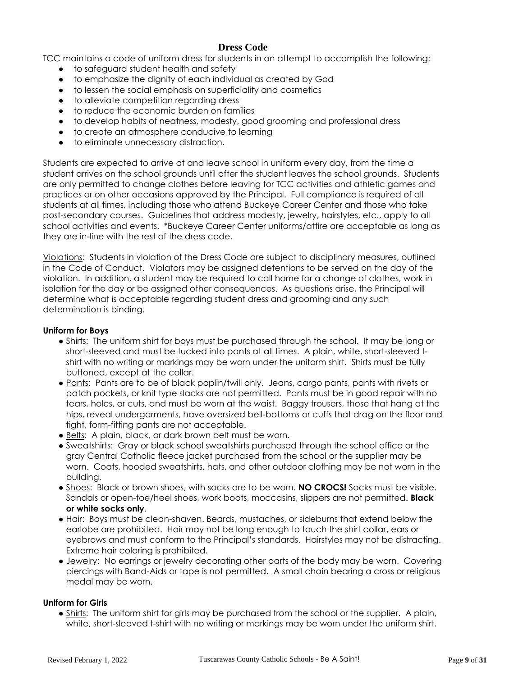## **Dress Code**

TCC maintains a code of uniform dress for students in an attempt to accomplish the following:

- to safeguard student health and safety
- to emphasize the dignity of each individual as created by God
- to lessen the social emphasis on superficiality and cosmetics
- to alleviate competition regarding dress
- to reduce the economic burden on families
- to develop habits of neatness, modesty, good grooming and professional dress
- to create an atmosphere conducive to learning
- to eliminate unnecessary distraction.

Students are expected to arrive at and leave school in uniform every day, from the time a student arrives on the school grounds until after the student leaves the school grounds. Students are only permitted to change clothes before leaving for TCC activities and athletic games and practices or on other occasions approved by the Principal. Full compliance is required of all students at all times, including those who attend Buckeye Career Center and those who take post-secondary courses. Guidelines that address modesty, jewelry, hairstyles, etc., apply to all school activities and events. \*Buckeye Career Center uniforms/attire are acceptable as long as they are in-line with the rest of the dress code.

Violations: Students in violation of the Dress Code are subject to disciplinary measures, outlined in the Code of Conduct. Violators may be assigned detentions to be served on the day of the violation. In addition, a student may be required to call home for a change of clothes, work in isolation for the day or be assigned other consequences. As questions arise, the Principal will determine what is acceptable regarding student dress and grooming and any such determination is binding.

#### **Uniform for Boys**

- Shirts: The uniform shirt for boys must be purchased through the school. It may be long or short-sleeved and must be tucked into pants at all times. A plain, white, short-sleeved tshirt with no writing or markings may be worn under the uniform shirt. Shirts must be fully buttoned, except at the collar.
- Pants: Pants are to be of black poplin/twill only. Jeans, cargo pants, pants with rivets or patch pockets, or knit type slacks are not permitted. Pants must be in good repair with no tears, holes, or cuts, and must be worn at the waist. Baggy trousers, those that hang at the hips, reveal undergarments, have oversized bell-bottoms or cuffs that drag on the floor and tight, form-fitting pants are not acceptable.
- Belts: A plain, black, or dark brown belt must be worn.
- Sweatshirts: Gray or black school sweatshirts purchased through the school office or the gray Central Catholic fleece jacket purchased from the school or the supplier may be worn. Coats, hooded sweatshirts, hats, and other outdoor clothing may be not worn in the building.
- Shoes: Black or brown shoes, with socks are to be worn. **NO CROCS!** Socks must be visible. Sandals or open-toe/heel shoes, work boots, moccasins, slippers are not permitted**. Black or white socks only**.
- Hair: Boys must be clean-shaven. Beards, mustaches, or sideburns that extend below the earlobe are prohibited. Hair may not be long enough to touch the shirt collar, ears or eyebrows and must conform to the Principal's standards. Hairstyles may not be distracting. Extreme hair coloring is prohibited.
- Jewelry: No earrings or jewelry decorating other parts of the body may be worn. Covering piercings with Band-Aids or tape is not permitted. A small chain bearing a cross or religious medal may be worn.

## **Uniform for Girls**

• Shirts: The uniform shirt for girls may be purchased from the school or the supplier. A plain, white, short-sleeved t-shirt with no writing or markings may be worn under the uniform shirt.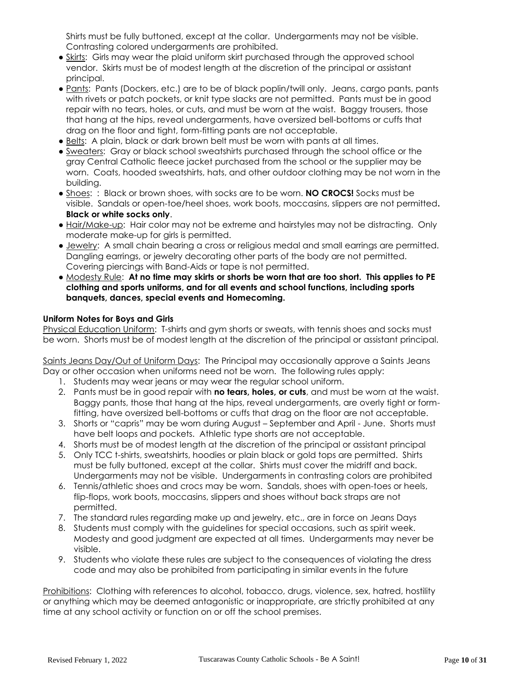Shirts must be fully buttoned, except at the collar. Undergarments may not be visible. Contrasting colored undergarments are prohibited.

- Skirts: Girls may wear the plaid uniform skirt purchased through the approved school vendor. Skirts must be of modest length at the discretion of the principal or assistant principal.
- Pants: Pants (Dockers, etc.) are to be of black poplin/twill only. Jeans, cargo pants, pants with rivets or patch pockets, or knit type slacks are not permitted. Pants must be in good repair with no tears, holes, or cuts, and must be worn at the waist. Baggy trousers, those that hang at the hips, reveal undergarments, have oversized bell-bottoms or cuffs that drag on the floor and tight, form-fitting pants are not acceptable.
- Belts: A plain, black or dark brown belt must be worn with pants at all times.
- Sweaters: Gray or black school sweatshirts purchased through the school office or the gray Central Catholic fleece jacket purchased from the school or the supplier may be worn. Coats, hooded sweatshirts, hats, and other outdoor clothing may be not worn in the building.
- Shoes: : Black or brown shoes, with socks are to be worn. **NO CROCS!** Socks must be visible. Sandals or open-toe/heel shoes, work boots, moccasins, slippers are not permitted**. Black or white socks only**.
- Hair/Make-up: Hair color may not be extreme and hairstyles may not be distracting. Only moderate make-up for girls is permitted.
- Jewelry: A small chain bearing a cross or religious medal and small earrings are permitted. Dangling earrings, or jewelry decorating other parts of the body are not permitted. Covering piercings with Band-Aids or tape is not permitted.
- Modesty Rule: **At no time may skirts or shorts be worn that are too short. This applies to PE clothing and sports uniforms, and for all events and school functions, including sports banquets, dances, special events and Homecoming.**

## **Uniform Notes for Boys and Girls**

Physical Education Uniform: T-shirts and gym shorts or sweats, with tennis shoes and socks must be worn. Shorts must be of modest length at the discretion of the principal or assistant principal.

Saints Jeans Day/Out of Uniform Days: The Principal may occasionally approve a Saints Jeans Day or other occasion when uniforms need not be worn. The following rules apply:

- 1. Students may wear jeans or may wear the regular school uniform.
- 2. Pants must be in good repair with **no tears, holes, or cuts**, and must be worn at the waist. Baggy pants, those that hang at the hips, reveal undergarments, are overly tight or formfitting, have oversized bell-bottoms or cuffs that drag on the floor are not acceptable.
- 3. Shorts or "capris" may be worn during August September and April June. Shorts must have belt loops and pockets. Athletic type shorts are not acceptable.
- 4. Shorts must be of modest length at the discretion of the principal or assistant principal
- 5. Only TCC t-shirts, sweatshirts, hoodies or plain black or gold tops are permitted. Shirts must be fully buttoned, except at the collar. Shirts must cover the midriff and back. Undergarments may not be visible. Undergarments in contrasting colors are prohibited
- 6. Tennis/athletic shoes and crocs may be worn. Sandals, shoes with open-toes or heels, flip-flops, work boots, moccasins, slippers and shoes without back straps are not permitted.
- 7. The standard rules regarding make up and jewelry, etc., are in force on Jeans Days
- 8. Students must comply with the guidelines for special occasions, such as spirit week. Modesty and good judgment are expected at all times. Undergarments may never be visible.
- 9. Students who violate these rules are subject to the consequences of violating the dress code and may also be prohibited from participating in similar events in the future

Prohibitions: Clothing with references to alcohol, tobacco, drugs, violence, sex, hatred, hostility or anything which may be deemed antagonistic or inappropriate, are strictly prohibited at any time at any school activity or function on or off the school premises.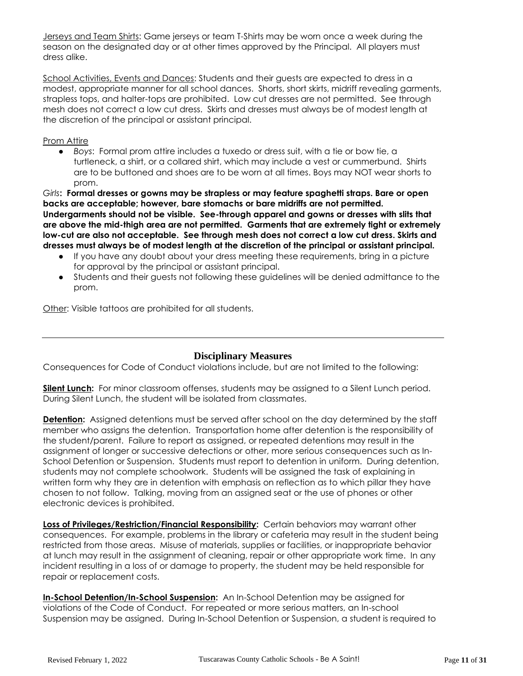Jerseys and Team Shirts: Game jerseys or team T-Shirts may be worn once a week during the season on the designated day or at other times approved by the Principal. All players must dress alike.

School Activities, Events and Dances: Students and their guests are expected to dress in a modest, appropriate manner for all school dances. Shorts, short skirts, midriff revealing garments, strapless tops, and halter-tops are prohibited. Low cut dresses are not permitted. See through mesh does not correct a low cut dress. Skirts and dresses must always be of modest length at the discretion of the principal or assistant principal.

#### Prom Attire

● *Boys*: Formal prom attire includes a tuxedo or dress suit, with a tie or bow tie, a turtleneck, a shirt, or a collared shirt, which may include a vest or cummerbund. Shirts are to be buttoned and shoes are to be worn at all times. Boys may NOT wear shorts to prom.

*Girls***: Formal dresses or gowns may be strapless or may feature spaghetti straps. Bare or open backs are acceptable; however, bare stomachs or bare midriffs are not permitted. Undergarments should not be visible. See-through apparel and gowns or dresses with slits that are above the mid-thigh area are not permitted. Garments that are extremely tight or extremely low-cut are also not acceptable. See through mesh does not correct a low cut dress. Skirts and dresses must always be of modest length at the discretion of the principal or assistant principal.**

- If you have any doubt about your dress meeting these requirements, bring in a picture for approval by the principal or assistant principal.
- Students and their guests not following these guidelines will be denied admittance to the prom.

Other: Visible tattoos are prohibited for all students.

## **Disciplinary Measures**

Consequences for Code of Conduct violations include, but are not limited to the following:

**Silent Lunch:** For minor classroom offenses, students may be assigned to a Silent Lunch period. During Silent Lunch, the student will be isolated from classmates.

**Detention:** Assigned detentions must be served after school on the day determined by the staff member who assigns the detention. Transportation home after detention is the responsibility of the student/parent. Failure to report as assigned, or repeated detentions may result in the assignment of longer or successive detections or other, more serious consequences such as In-School Detention or Suspension. Students must report to detention in uniform. During detention, students may not complete schoolwork. Students will be assigned the task of explaining in written form why they are in detention with emphasis on reflection as to which pillar they have chosen to not follow. Talking, moving from an assigned seat or the use of phones or other electronic devices is prohibited.

**Loss of Privileges/Restriction/Financial Responsibility:** Certain behaviors may warrant other consequences. For example, problems in the library or cafeteria may result in the student being restricted from those areas. Misuse of materials, supplies or facilities, or inappropriate behavior at lunch may result in the assignment of cleaning, repair or other appropriate work time. In any incident resulting in a loss of or damage to property, the student may be held responsible for repair or replacement costs.

**In-School Detention/In-School Suspension:** An In-School Detention may be assigned for violations of the Code of Conduct. For repeated or more serious matters, an In-school Suspension may be assigned. During In-School Detention or Suspension, a student is required to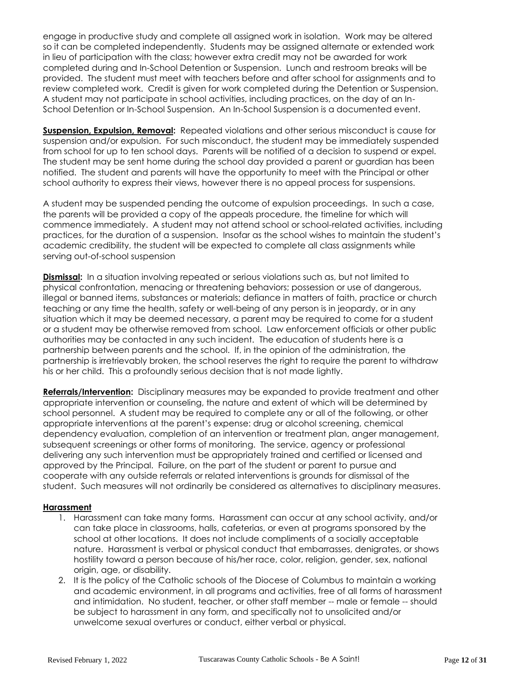engage in productive study and complete all assigned work in isolation. Work may be altered so it can be completed independently. Students may be assigned alternate or extended work in lieu of participation with the class; however extra credit may not be awarded for work completed during and In-School Detention or Suspension. Lunch and restroom breaks will be provided. The student must meet with teachers before and after school for assignments and to review completed work. Credit is given for work completed during the Detention or Suspension. A student may not participate in school activities, including practices, on the day of an In-School Detention or In-School Suspension. An In-School Suspension is a documented event.

**Suspension, Expulsion, Removal:** Repeated violations and other serious misconduct is cause for suspension and/or expulsion. For such misconduct, the student may be immediately suspended from school for up to ten school days. Parents will be notified of a decision to suspend or expel. The student may be sent home during the school day provided a parent or guardian has been notified. The student and parents will have the opportunity to meet with the Principal or other school authority to express their views, however there is no appeal process for suspensions.

A student may be suspended pending the outcome of expulsion proceedings. In such a case, the parents will be provided a copy of the appeals procedure, the timeline for which will commence immediately. A student may not attend school or school-related activities, including practices, for the duration of a suspension. Insofar as the school wishes to maintain the student's academic credibility, the student will be expected to complete all class assignments while serving out-of-school suspension

**Dismissal:** In a situation involving repeated or serious violations such as, but not limited to physical confrontation, menacing or threatening behaviors; possession or use of dangerous, illegal or banned items, substances or materials; defiance in matters of faith, practice or church teaching or any time the health, safety or well-being of any person is in jeopardy, or in any situation which it may be deemed necessary, a parent may be required to come for a student or a student may be otherwise removed from school. Law enforcement officials or other public authorities may be contacted in any such incident. The education of students here is a partnership between parents and the school. If, in the opinion of the administration, the partnership is irretrievably broken, the school reserves the right to require the parent to withdraw his or her child. This a profoundly serious decision that is not made lightly.

**Referrals/Intervention:** Disciplinary measures may be expanded to provide treatment and other appropriate intervention or counseling, the nature and extent of which will be determined by school personnel. A student may be required to complete any or all of the following, or other appropriate interventions at the parent's expense: drug or alcohol screening, chemical dependency evaluation, completion of an intervention or treatment plan, anger management, subsequent screenings or other forms of monitoring. The service, agency or professional delivering any such intervention must be appropriately trained and certified or licensed and approved by the Principal. Failure, on the part of the student or parent to pursue and cooperate with any outside referrals or related interventions is grounds for dismissal of the student. Such measures will not ordinarily be considered as alternatives to disciplinary measures.

#### **Harassment**

- 1. Harassment can take many forms. Harassment can occur at any school activity, and/or can take place in classrooms, halls, cafeterias, or even at programs sponsored by the school at other locations. It does not include compliments of a socially acceptable nature. Harassment is verbal or physical conduct that embarrasses, denigrates, or shows hostility toward a person because of his/her race, color, religion, gender, sex, national origin, age, or disability.
- 2. It is the policy of the Catholic schools of the Diocese of Columbus to maintain a working and academic environment, in all programs and activities, free of all forms of harassment and intimidation. No student, teacher, or other staff member -- male or female -- should be subject to harassment in any form, and specifically not to unsolicited and/or unwelcome sexual overtures or conduct, either verbal or physical.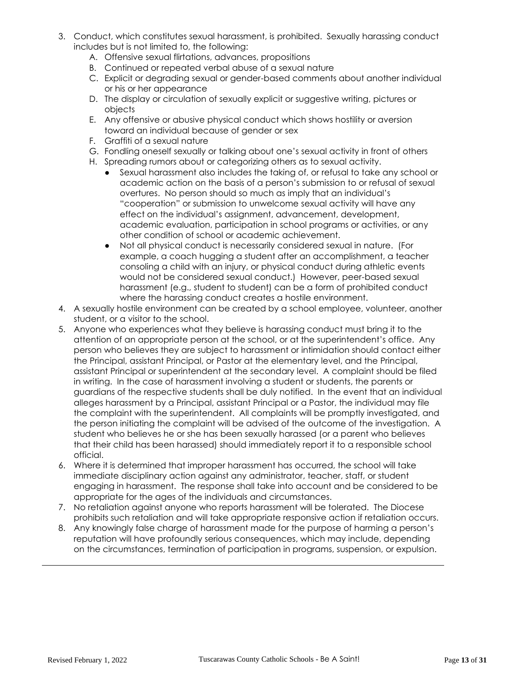- 3. Conduct, which constitutes sexual harassment, is prohibited. Sexually harassing conduct includes but is not limited to, the following:
	- A. Offensive sexual flirtations, advances, propositions
	- B. Continued or repeated verbal abuse of a sexual nature
	- C. Explicit or degrading sexual or gender-based comments about another individual or his or her appearance
	- D. The display or circulation of sexually explicit or suggestive writing, pictures or objects
	- E. Any offensive or abusive physical conduct which shows hostility or aversion toward an individual because of gender or sex
	- F. Graffiti of a sexual nature
	- G. Fondling oneself sexually or talking about one's sexual activity in front of others
	- H. Spreading rumors about or categorizing others as to sexual activity.
		- Sexual harassment also includes the taking of, or refusal to take any school or academic action on the basis of a person's submission to or refusal of sexual overtures. No person should so much as imply that an individual's "cooperation" or submission to unwelcome sexual activity will have any effect on the individual's assignment, advancement, development, academic evaluation, participation in school programs or activities, or any other condition of school or academic achievement.
		- Not all physical conduct is necessarily considered sexual in nature. (For example, a coach hugging a student after an accomplishment, a teacher consoling a child with an injury, or physical conduct during athletic events would not be considered sexual conduct.) However, peer-based sexual harassment (e.g., student to student) can be a form of prohibited conduct where the harassing conduct creates a hostile environment.
- 4. A sexually hostile environment can be created by a school employee, volunteer, another student, or a visitor to the school.
- 5. Anyone who experiences what they believe is harassing conduct must bring it to the attention of an appropriate person at the school, or at the superintendent's office. Any person who believes they are subject to harassment or intimidation should contact either the Principal, assistant Principal, or Pastor at the elementary level, and the Principal, assistant Principal or superintendent at the secondary level. A complaint should be filed in writing. In the case of harassment involving a student or students, the parents or guardians of the respective students shall be duly notified. In the event that an individual alleges harassment by a Principal, assistant Principal or a Pastor, the individual may file the complaint with the superintendent. All complaints will be promptly investigated, and the person initiating the complaint will be advised of the outcome of the investigation. A student who believes he or she has been sexually harassed (or a parent who believes that their child has been harassed) should immediately report it to a responsible school official.
- 6. Where it is determined that improper harassment has occurred, the school will take immediate disciplinary action against any administrator, teacher, staff, or student engaging in harassment. The response shall take into account and be considered to be appropriate for the ages of the individuals and circumstances.
- 7. No retaliation against anyone who reports harassment will be tolerated. The Diocese prohibits such retaliation and will take appropriate responsive action if retaliation occurs.
- 8. Any knowingly false charge of harassment made for the purpose of harming a person's reputation will have profoundly serious consequences, which may include, depending on the circumstances, termination of participation in programs, suspension, or expulsion.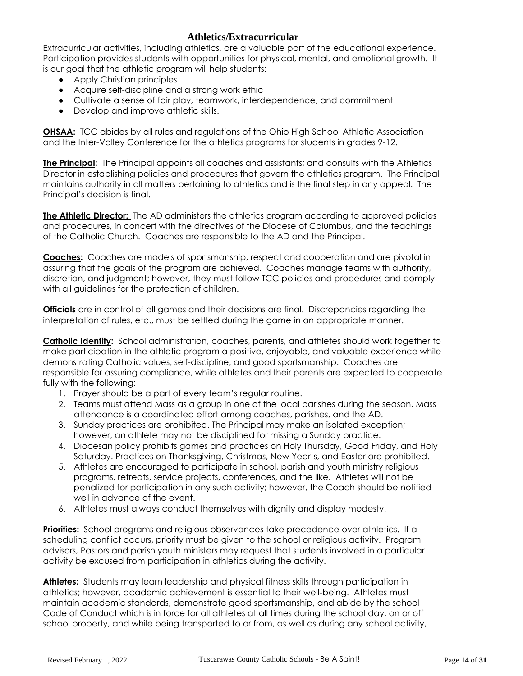## **Athletics/Extracurricular**

Extracurricular activities, including athletics, are a valuable part of the educational experience. Participation provides students with opportunities for physical, mental, and emotional growth. It is our goal that the athletic program will help students:

- Apply Christian principles
- Acquire self-discipline and a strong work ethic
- Cultivate a sense of fair play, teamwork, interdependence, and commitment
- Develop and improve athletic skills.

**OHSAA:** TCC abides by all rules and regulations of the Ohio High School Athletic Association and the Inter-Valley Conference for the athletics programs for students in grades 9-12.

**The Principal:** The Principal appoints all coaches and assistants; and consults with the Athletics Director in establishing policies and procedures that govern the athletics program. The Principal maintains authority in all matters pertaining to athletics and is the final step in any appeal. The Principal's decision is final.

**The Athletic Director:** The AD administers the athletics program according to approved policies and procedures, in concert with the directives of the Diocese of Columbus, and the teachings of the Catholic Church. Coaches are responsible to the AD and the Principal.

**Coaches:** Coaches are models of sportsmanship, respect and cooperation and are pivotal in assuring that the goals of the program are achieved. Coaches manage teams with authority, discretion, and judgment; however, they must follow TCC policies and procedures and comply with all guidelines for the protection of children.

**Officials** are in control of all games and their decisions are final. Discrepancies regarding the interpretation of rules, etc., must be settled during the game in an appropriate manner.

**Catholic Identity:** School administration, coaches, parents, and athletes should work together to make participation in the athletic program a positive, enjoyable, and valuable experience while demonstrating Catholic values, self-discipline, and good sportsmanship. Coaches are responsible for assuring compliance, while athletes and their parents are expected to cooperate fully with the following:

- 1. Prayer should be a part of every team's regular routine.
- 2. Teams must attend Mass as a group in one of the local parishes during the season. Mass attendance is a coordinated effort among coaches, parishes, and the AD.
- 3. Sunday practices are prohibited. The Principal may make an isolated exception; however, an athlete may not be disciplined for missing a Sunday practice.
- 4. Diocesan policy prohibits games and practices on Holy Thursday, Good Friday, and Holy Saturday. Practices on Thanksgiving, Christmas, New Year's, and Easter are prohibited.
- 5. Athletes are encouraged to participate in school, parish and youth ministry religious programs, retreats, service projects, conferences, and the like. Athletes will not be penalized for participation in any such activity; however, the Coach should be notified well in advance of the event.
- 6. Athletes must always conduct themselves with dignity and display modesty.

**Priorities:** School programs and religious observances take precedence over athletics. If a scheduling conflict occurs, priority must be given to the school or religious activity. Program advisors, Pastors and parish youth ministers may request that students involved in a particular activity be excused from participation in athletics during the activity.

**Athletes:** Students may learn leadership and physical fitness skills through participation in athletics; however, academic achievement is essential to their well-being. Athletes must maintain academic standards, demonstrate good sportsmanship, and abide by the school Code of Conduct which is in force for all athletes at all times during the school day, on or off school property, and while being transported to or from, as well as during any school activity,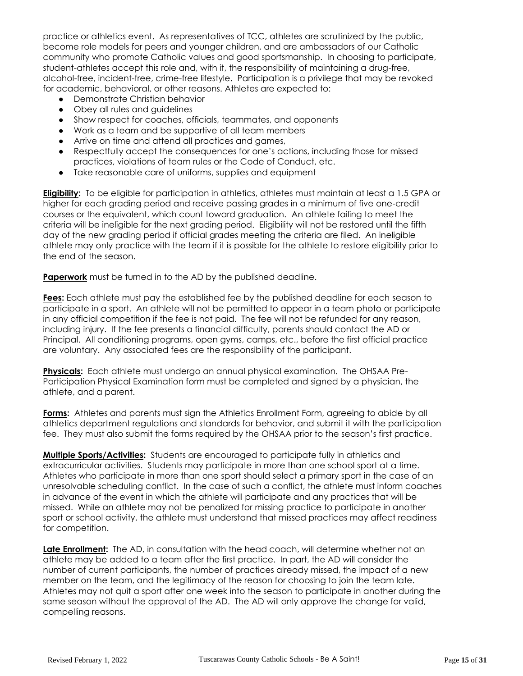practice or athletics event. As representatives of TCC, athletes are scrutinized by the public, become role models for peers and younger children, and are ambassadors of our Catholic community who promote Catholic values and good sportsmanship. In choosing to participate, student-athletes accept this role and, with it, the responsibility of maintaining a drug-free, alcohol-free, incident-free, crime-free lifestyle. Participation is a privilege that may be revoked for academic, behavioral, or other reasons. Athletes are expected to:

- Demonstrate Christian behavior
- Obey all rules and guidelines
- Show respect for coaches, officials, teammates, and opponents
- Work as a team and be supportive of all team members
- Arrive on time and attend all practices and games,
- Respectfully accept the consequences for one's actions, including those for missed practices, violations of team rules or the Code of Conduct, etc.
- Take reasonable care of uniforms, supplies and equipment

**Eligibility:** To be eligible for participation in athletics, athletes must maintain at least a 1.5 GPA or higher for each grading period and receive passing grades in a minimum of five one-credit courses or the equivalent, which count toward graduation. An athlete failing to meet the criteria will be ineligible for the next grading period. Eligibility will not be restored until the fifth day of the new grading period if official grades meeting the criteria are filed. An ineligible athlete may only practice with the team if it is possible for the athlete to restore eligibility prior to the end of the season.

**Paperwork** must be turned in to the AD by the published deadline.

**Fees:** Each athlete must pay the established fee by the published deadline for each season to participate in a sport. An athlete will not be permitted to appear in a team photo or participate in any official competition if the fee is not paid. The fee will not be refunded for any reason, including injury. If the fee presents a financial difficulty, parents should contact the AD or Principal. All conditioning programs, open gyms, camps, etc., before the first official practice are voluntary. Any associated fees are the responsibility of the participant.

**Physicals:** Each athlete must undergo an annual physical examination. The OHSAA Pre-Participation Physical Examination form must be completed and signed by a physician, the athlete, and a parent.

**Forms:** Athletes and parents must sign the Athletics Enrollment Form, agreeing to abide by all athletics department regulations and standards for behavior, and submit it with the participation fee. They must also submit the forms required by the OHSAA prior to the season's first practice.

**Multiple Sports/Activities:** Students are encouraged to participate fully in athletics and extracurricular activities. Students may participate in more than one school sport at a time. Athletes who participate in more than one sport should select a primary sport in the case of an unresolvable scheduling conflict. In the case of such a conflict, the athlete must inform coaches in advance of the event in which the athlete will participate and any practices that will be missed. While an athlete may not be penalized for missing practice to participate in another sport or school activity, the athlete must understand that missed practices may affect readiness for competition.

**Late Enrollment:** The AD, in consultation with the head coach, will determine whether not an athlete may be added to a team after the first practice. In part, the AD will consider the number of current participants, the number of practices already missed, the impact of a new member on the team, and the legitimacy of the reason for choosing to join the team late. Athletes may not quit a sport after one week into the season to participate in another during the same season without the approval of the AD. The AD will only approve the change for valid, compelling reasons.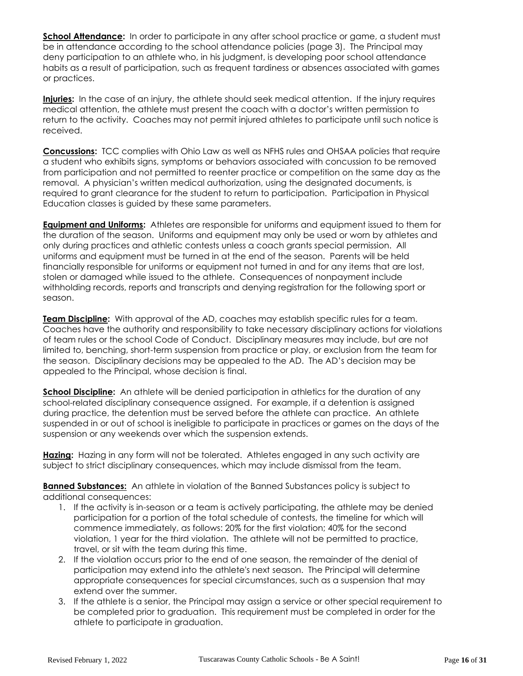**School Attendance:** In order to participate in any after school practice or game, a student must be in attendance according to the school attendance policies (page 3). The Principal may deny participation to an athlete who, in his judgment, is developing poor school attendance habits as a result of participation, such as frequent tardiness or absences associated with games or practices.

**Injuries:** In the case of an injury, the athlete should seek medical attention. If the injury requires medical attention, the athlete must present the coach with a doctor's written permission to return to the activity. Coaches may not permit injured athletes to participate until such notice is received.

**Concussions:** TCC complies with Ohio Law as well as NFHS rules and OHSAA policies that require a student who exhibits signs, symptoms or behaviors associated with concussion to be removed from participation and not permitted to reenter practice or competition on the same day as the removal. A physician's written medical authorization, using the designated documents, is required to grant clearance for the student to return to participation. Participation in Physical Education classes is guided by these same parameters.

**Equipment and Uniforms:** Athletes are responsible for uniforms and equipment issued to them for the duration of the season. Uniforms and equipment may only be used or worn by athletes and only during practices and athletic contests unless a coach grants special permission. All uniforms and equipment must be turned in at the end of the season. Parents will be held financially responsible for uniforms or equipment not turned in and for any items that are lost, stolen or damaged while issued to the athlete. Consequences of nonpayment include withholding records, reports and transcripts and denying registration for the following sport or season.

**Team Discipline:** With approval of the AD, coaches may establish specific rules for a team. Coaches have the authority and responsibility to take necessary disciplinary actions for violations of team rules or the school Code of Conduct. Disciplinary measures may include, but are not limited to, benching, short-term suspension from practice or play, or exclusion from the team for the season. Disciplinary decisions may be appealed to the AD. The AD's decision may be appealed to the Principal, whose decision is final.

**School Discipline:** An athlete will be denied participation in athletics for the duration of any school-related disciplinary consequence assigned. For example, if a detention is assigned during practice, the detention must be served before the athlete can practice. An athlete suspended in or out of school is ineligible to participate in practices or games on the days of the suspension or any weekends over which the suspension extends.

**Hazing:** Hazing in any form will not be tolerated. Athletes engaged in any such activity are subject to strict disciplinary consequences, which may include dismissal from the team.

**Banned Substances:** An athlete in violation of the Banned Substances policy is subject to additional consequences:

- 1. If the activity is in-season or a team is actively participating, the athlete may be denied participation for a portion of the total schedule of contests, the timeline for which will commence immediately, as follows: 20% for the first violation; 40% for the second violation, 1 year for the third violation. The athlete will not be permitted to practice, travel, or sit with the team during this time.
- 2. If the violation occurs prior to the end of one season, the remainder of the denial of participation may extend into the athlete's next season. The Principal will determine appropriate consequences for special circumstances, such as a suspension that may extend over the summer.
- 3. If the athlete is a senior, the Principal may assign a service or other special requirement to be completed prior to graduation. This requirement must be completed in order for the athlete to participate in graduation.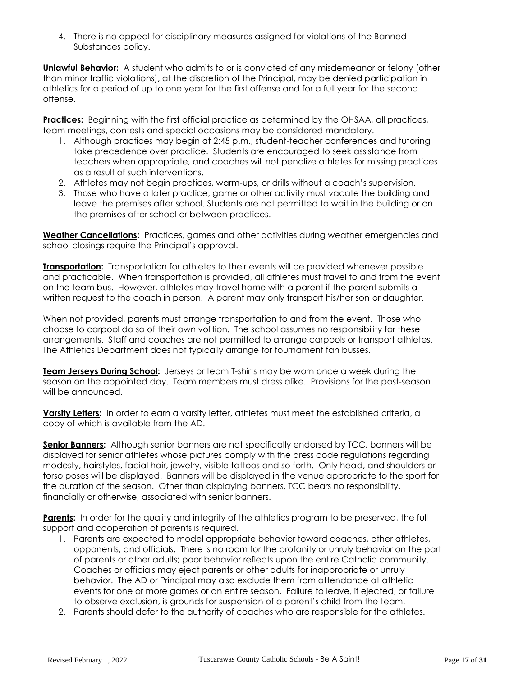4. There is no appeal for disciplinary measures assigned for violations of the Banned Substances policy.

**Unlawful Behavior:** A student who admits to or is convicted of any misdemeanor or felony (other than minor traffic violations), at the discretion of the Principal, may be denied participation in athletics for a period of up to one year for the first offense and for a full year for the second offense.

**Practices:** Beginning with the first official practice as determined by the OHSAA, all practices, team meetings, contests and special occasions may be considered mandatory.

- 1. Although practices may begin at 2:45 p.m., student-teacher conferences and tutoring take precedence over practice. Students are encouraged to seek assistance from teachers when appropriate, and coaches will not penalize athletes for missing practices as a result of such interventions.
- 2. Athletes may not begin practices, warm-ups, or drills without a coach's supervision.
- 3. Those who have a later practice, game or other activity must vacate the building and leave the premises after school. Students are not permitted to wait in the building or on the premises after school or between practices.

**Weather Cancellations:** Practices, games and other activities during weather emergencies and school closings require the Principal's approval.

**Transportation:** Transportation for athletes to their events will be provided whenever possible and practicable. When transportation is provided, all athletes must travel to and from the event on the team bus. However, athletes may travel home with a parent if the parent submits a written request to the coach in person. A parent may only transport his/her son or daughter.

When not provided, parents must arrange transportation to and from the event. Those who choose to carpool do so of their own volition. The school assumes no responsibility for these arrangements. Staff and coaches are not permitted to arrange carpools or transport athletes. The Athletics Department does not typically arrange for tournament fan busses.

**Team Jerseys During School:** Jerseys or team T-shirts may be worn once a week during the season on the appointed day. Team members must dress alike. Provisions for the post-season will be announced.

**Varsity Letters:** In order to earn a varsity letter, athletes must meet the established criteria, a copy of which is available from the AD.

**Senior Banners:** Although senior banners are not specifically endorsed by TCC, banners will be displayed for senior athletes whose pictures comply with the dress code regulations regarding modesty, hairstyles, facial hair, jewelry, visible tattoos and so forth. Only head, and shoulders or torso poses will be displayed. Banners will be displayed in the venue appropriate to the sport for the duration of the season. Other than displaying banners, TCC bears no responsibility, financially or otherwise, associated with senior banners.

**Parents:** In order for the quality and integrity of the athletics program to be preserved, the full support and cooperation of parents is required.

- 1. Parents are expected to model appropriate behavior toward coaches, other athletes, opponents, and officials. There is no room for the profanity or unruly behavior on the part of parents or other adults; poor behavior reflects upon the entire Catholic community. Coaches or officials may eject parents or other adults for inappropriate or unruly behavior. The AD or Principal may also exclude them from attendance at athletic events for one or more games or an entire season. Failure to leave, if ejected, or failure to observe exclusion, is grounds for suspension of a parent's child from the team.
- 2. Parents should defer to the authority of coaches who are responsible for the athletes.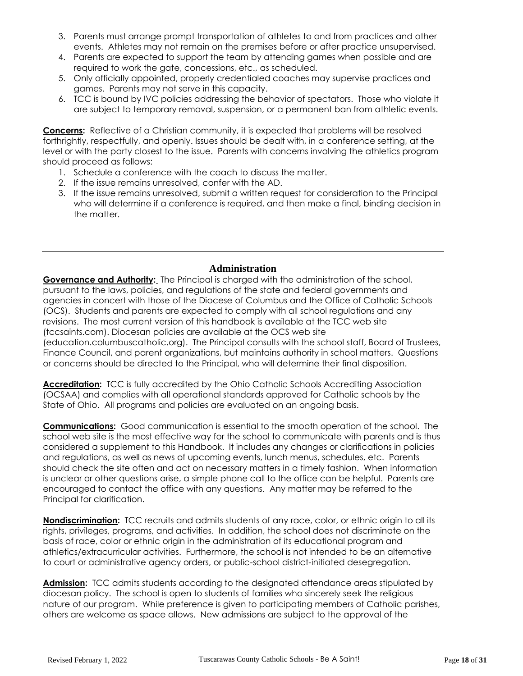- 3. Parents must arrange prompt transportation of athletes to and from practices and other events. Athletes may not remain on the premises before or after practice unsupervised.
- 4. Parents are expected to support the team by attending games when possible and are required to work the gate, concessions, etc., as scheduled.
- 5. Only officially appointed, properly credentialed coaches may supervise practices and games. Parents may not serve in this capacity.
- 6. TCC is bound by IVC policies addressing the behavior of spectators. Those who violate it are subject to temporary removal, suspension, or a permanent ban from athletic events.

**Concerns:** Reflective of a Christian community, it is expected that problems will be resolved forthrightly, respectfully, and openly. Issues should be dealt with, in a conference setting, at the level or with the party closest to the issue. Parents with concerns involving the athletics program should proceed as follows:

- 1. Schedule a conference with the coach to discuss the matter.
- 2. If the issue remains unresolved, confer with the AD.
- 3. If the issue remains unresolved, submit a written request for consideration to the Principal who will determine if a conference is required, and then make a final, binding decision in the matter.

## **Administration**

**Governance and Authority:** The Principal is charged with the administration of the school, pursuant to the laws, policies, and regulations of the state and federal governments and agencies in concert with those of the Diocese of Columbus and the Office of Catholic Schools (OCS). Students and parents are expected to comply with all school regulations and any revisions. The most current version of this handbook is available at the TCC web site (tccsaints.com). Diocesan policies are available at the OCS web site (education.columbuscatholic.org). The Principal consults with the school staff, Board of Trustees, Finance Council, and parent organizations, but maintains authority in school matters. Questions or concerns should be directed to the Principal, who will determine their final disposition.

**Accreditation:** TCC is fully accredited by the Ohio Catholic Schools Accrediting Association (OCSAA) and complies with all operational standards approved for Catholic schools by the State of Ohio. All programs and policies are evaluated on an ongoing basis.

**Communications:** Good communication is essential to the smooth operation of the school. The school web site is the most effective way for the school to communicate with parents and is thus considered a supplement to this Handbook. It includes any changes or clarifications in policies and regulations, as well as news of upcoming events, lunch menus, schedules, etc. Parents should check the site often and act on necessary matters in a timely fashion. When information is unclear or other questions arise, a simple phone call to the office can be helpful. Parents are encouraged to contact the office with any questions. Any matter may be referred to the Principal for clarification.

**Nondiscrimination:** TCC recruits and admits students of any race, color, or ethnic origin to all its rights, privileges, programs, and activities. In addition, the school does not discriminate on the basis of race, color or ethnic origin in the administration of its educational program and athletics/extracurricular activities. Furthermore, the school is not intended to be an alternative to court or administrative agency orders, or public-school district-initiated desegregation.

**Admission:** TCC admits students according to the designated attendance areas stipulated by diocesan policy. The school is open to students of families who sincerely seek the religious nature of our program. While preference is given to participating members of Catholic parishes, others are welcome as space allows. New admissions are subject to the approval of the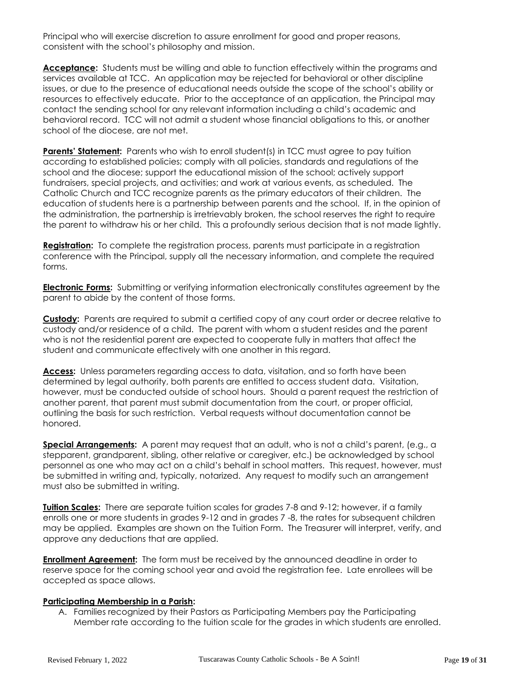Principal who will exercise discretion to assure enrollment for good and proper reasons, consistent with the school's philosophy and mission.

**Acceptance:** Students must be willing and able to function effectively within the programs and services available at TCC. An application may be rejected for behavioral or other discipline issues, or due to the presence of educational needs outside the scope of the school's ability or resources to effectively educate. Prior to the acceptance of an application, the Principal may contact the sending school for any relevant information including a child's academic and behavioral record. TCC will not admit a student whose financial obligations to this, or another school of the diocese, are not met.

**Parents' Statement:** Parents who wish to enroll student(s) in TCC must agree to pay tuition according to established policies; comply with all policies, standards and regulations of the school and the diocese; support the educational mission of the school; actively support fundraisers, special projects, and activities; and work at various events, as scheduled. The Catholic Church and TCC recognize parents as the primary educators of their children. The education of students here is a partnership between parents and the school. If, in the opinion of the administration, the partnership is irretrievably broken, the school reserves the right to require the parent to withdraw his or her child. This a profoundly serious decision that is not made lightly.

**Registration:** To complete the registration process, parents must participate in a registration conference with the Principal, supply all the necessary information, and complete the required forms.

**Electronic Forms:** Submitting or verifying information electronically constitutes agreement by the parent to abide by the content of those forms.

**Custody:** Parents are required to submit a certified copy of any court order or decree relative to custody and/or residence of a child. The parent with whom a student resides and the parent who is not the residential parent are expected to cooperate fully in matters that affect the student and communicate effectively with one another in this regard.

**Access:** Unless parameters regarding access to data, visitation, and so forth have been determined by legal authority, both parents are entitled to access student data. Visitation, however, must be conducted outside of school hours. Should a parent request the restriction of another parent, that parent must submit documentation from the court, or proper official, outlining the basis for such restriction. Verbal requests without documentation cannot be honored.

**Special Arrangements:** A parent may request that an adult, who is not a child's parent, (e.g., a stepparent, grandparent, sibling, other relative or caregiver, etc.) be acknowledged by school personnel as one who may act on a child's behalf in school matters. This request, however, must be submitted in writing and, typically, notarized. Any request to modify such an arrangement must also be submitted in writing.

**Tuition Scales:** There are separate tuition scales for grades 7-8 and 9-12; however, if a family enrolls one or more students in grades 9-12 and in grades 7 -8, the rates for subsequent children may be applied. Examples are shown on the Tuition Form. The Treasurer will interpret, verify, and approve any deductions that are applied.

**Enrollment Agreement:** The form must be received by the announced deadline in order to reserve space for the coming school year and avoid the registration fee. Late enrollees will be accepted as space allows.

#### **Participating Membership in a Parish:**

A. Families recognized by their Pastors as Participating Members pay the Participating Member rate according to the tuition scale for the grades in which students are enrolled.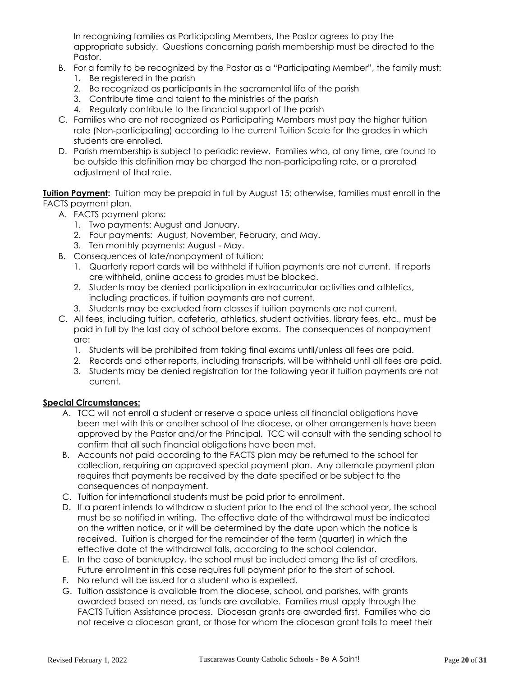In recognizing families as Participating Members, the Pastor agrees to pay the appropriate subsidy. Questions concerning parish membership must be directed to the Pastor.

- B. For a family to be recognized by the Pastor as a "Participating Member", the family must: 1. Be registered in the parish
	- 2. Be recognized as participants in the sacramental life of the parish
	- 3. Contribute time and talent to the ministries of the parish
	- 4. Regularly contribute to the financial support of the parish
- C. Families who are not recognized as Participating Members must pay the higher tuition rate (Non-participating) according to the current Tuition Scale for the grades in which students are enrolled.
- D. Parish membership is subject to periodic review. Families who, at any time, are found to be outside this definition may be charged the non-participating rate, or a prorated adjustment of that rate.

**Tuition Payment:** Tuition may be prepaid in full by August 15; otherwise, families must enroll in the FACTS payment plan.

- A. FACTS payment plans:
	- 1. Two payments: August and January.
	- 2. Four payments: August, November, February, and May.
	- 3. Ten monthly payments: August May.
- B. Consequences of late/nonpayment of tuition:
	- 1. Quarterly report cards will be withheld if tuition payments are not current. If reports are withheld, online access to grades must be blocked.
	- 2. Students may be denied participation in extracurricular activities and athletics, including practices, if tuition payments are not current.
	- 3. Students may be excluded from classes if tuition payments are not current.
- C. All fees, including tuition, cafeteria, athletics, student activities, library fees, etc., must be paid in full by the last day of school before exams. The consequences of nonpayment are:
	- 1. Students will be prohibited from taking final exams until/unless all fees are paid.
	- 2. Records and other reports, including transcripts, will be withheld until all fees are paid.
	- 3. Students may be denied registration for the following year if tuition payments are not current.

#### **Special Circumstances:**

- A. TCC will not enroll a student or reserve a space unless all financial obligations have been met with this or another school of the diocese, or other arrangements have been approved by the Pastor and/or the Principal. TCC will consult with the sending school to confirm that all such financial obligations have been met.
- B. Accounts not paid according to the FACTS plan may be returned to the school for collection, requiring an approved special payment plan. Any alternate payment plan requires that payments be received by the date specified or be subject to the consequences of nonpayment.
- C. Tuition for international students must be paid prior to enrollment.
- D. If a parent intends to withdraw a student prior to the end of the school year, the school must be so notified in writing. The effective date of the withdrawal must be indicated on the written notice, or it will be determined by the date upon which the notice is received. Tuition is charged for the remainder of the term (quarter) in which the effective date of the withdrawal falls, according to the school calendar.
- E. In the case of bankruptcy, the school must be included among the list of creditors. Future enrollment in this case requires full payment prior to the start of school.
- F. No refund will be issued for a student who is expelled.
- G. Tuition assistance is available from the diocese, school, and parishes, with grants awarded based on need, as funds are available. Families must apply through the FACTS Tuition Assistance process. Diocesan grants are awarded first. Families who do not receive a diocesan grant, or those for whom the diocesan grant fails to meet their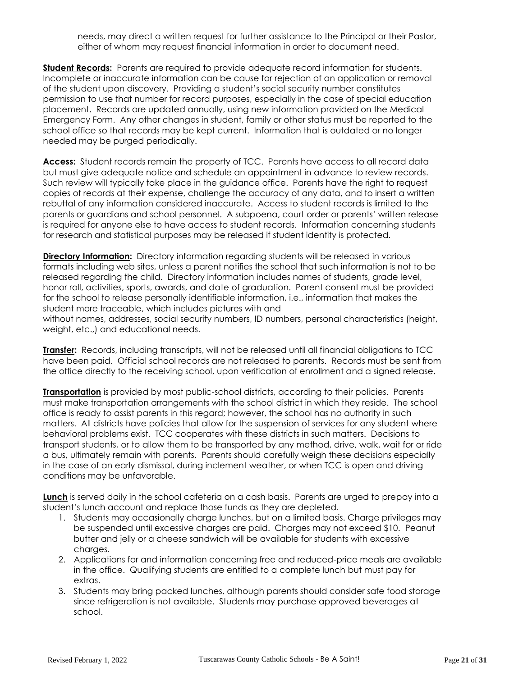needs, may direct a written request for further assistance to the Principal or their Pastor, either of whom may request financial information in order to document need.

**Student Records:** Parents are required to provide adequate record information for students. Incomplete or inaccurate information can be cause for rejection of an application or removal of the student upon discovery. Providing a student's social security number constitutes permission to use that number for record purposes, especially in the case of special education placement. Records are updated annually, using new information provided on the Medical Emergency Form. Any other changes in student, family or other status must be reported to the school office so that records may be kept current. Information that is outdated or no longer needed may be purged periodically.

Access: Student records remain the property of TCC. Parents have access to all record data but must give adequate notice and schedule an appointment in advance to review records. Such review will typically take place in the guidance office. Parents have the right to request copies of records at their expense, challenge the accuracy of any data, and to insert a written rebuttal of any information considered inaccurate. Access to student records is limited to the parents or guardians and school personnel. A subpoena, court order or parents' written release is required for anyone else to have access to student records. Information concerning students for research and statistical purposes may be released if student identity is protected.

**Directory Information:** Directory information regarding students will be released in various formats including web sites, unless a parent notifies the school that such information is not to be released regarding the child. Directory information includes names of students, grade level, honor roll, activities, sports, awards, and date of graduation. Parent consent must be provided for the school to release personally identifiable information, i.e., information that makes the student more traceable, which includes pictures with and

without names, addresses, social security numbers, ID numbers, personal characteristics (height, weight, etc.,) and educational needs.

**Transfer:** Records, including transcripts, will not be released until all financial obligations to TCC have been paid. Official school records are not released to parents. Records must be sent from the office directly to the receiving school, upon verification of enrollment and a signed release.

**Transportation** is provided by most public-school districts, according to their policies. Parents must make transportation arrangements with the school district in which they reside. The school office is ready to assist parents in this regard; however, the school has no authority in such matters. All districts have policies that allow for the suspension of services for any student where behavioral problems exist. TCC cooperates with these districts in such matters. Decisions to transport students, or to allow them to be transported by any method, drive, walk, wait for or ride a bus, ultimately remain with parents. Parents should carefully weigh these decisions especially in the case of an early dismissal, during inclement weather, or when TCC is open and driving conditions may be unfavorable.

**Lunch** is served daily in the school cafeteria on a cash basis. Parents are urged to prepay into a student's lunch account and replace those funds as they are depleted.

- 1. Students may occasionally charge lunches, but on a limited basis. Charge privileges may be suspended until excessive charges are paid. Charges may not exceed \$10. Peanut butter and jelly or a cheese sandwich will be available for students with excessive charges.
- 2. Applications for and information concerning free and reduced-price meals are available in the office. Qualifying students are entitled to a complete lunch but must pay for extras.
- 3. Students may bring packed lunches, although parents should consider safe food storage since refrigeration is not available. Students may purchase approved beverages at school.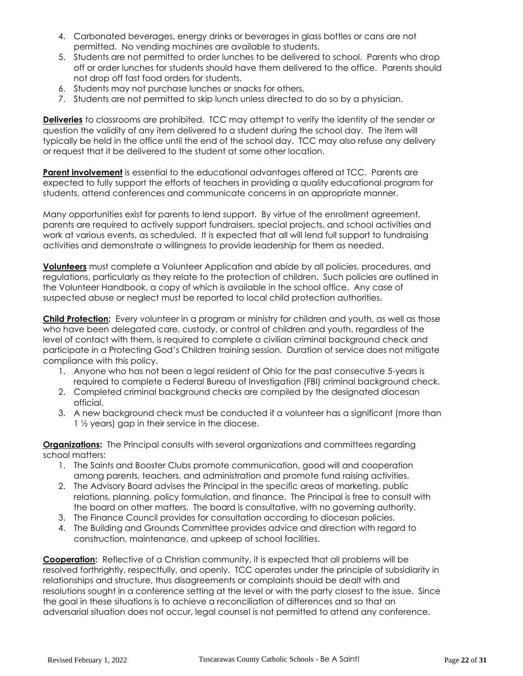- 4. Carbonated beverages, energy drinks or beverages in glass bottles or cans are not permitted. No vending machines are available to students.
- 5. Students are not permitted to order lunches to be delivered to school. Parents who drop off or order lunches for students should have them delivered to the office. Parents should not drop off fast food orders for students.
- 6. Students may not purchase lunches or snacks for others.
- 7. Students are not permitted to skip lunch unless directed to do so by a physician.

**Deliveries** to classrooms are prohibited. TCC may attempt to verify the identity of the sender or question the validity of any item delivered to a student during the school day. The item will typically be held in the office until the end of the school day. TCC may also refuse any delivery or request that it be delivered to the student at some other location.

**Parent involvement** is essential to the educational advantages offered at TCC. Parents are expected to fully support the efforts of teachers in providing a quality educational program for students, attend conferences and communicate concerns in an appropriate manner.

Many opportunities exist for parents to lend support. By virtue of the enrollment agreement, parents are required to actively support fundraisers, special projects, and school activities and work at various events, as scheduled. It is expected that all will lend full support to fundraising activities and demonstrate a willingness to provide leadership for them as needed.

**Volunteers** must complete a Volunteer Application and abide by all policies, procedures, and regulations, particularly as they relate to the protection of children. Such policies are outlined in the Volunteer Handbook, a copy of which is available in the school office. Any case of suspected abuse or neglect must be reported to local child protection authorities.

**Child Protection:** Every volunteer in a program or ministry for children and youth, as well as those who have been delegated care, custody, or control of children and youth, regardless of the level of contact with them, is required to complete a civilian criminal background check and participate in a Protecting God's Children training session. Duration of service does not mitigate compliance with this policy.

- 1. Anyone who has not been a legal resident of Ohio for the past consecutive 5-years is required to complete a Federal Bureau of Investigation (FBI) criminal background check.
- 2. Completed criminal background checks are compiled by the designated diocesan official.
- 3. A new background check must be conducted if a volunteer has a significant (more than 1 ½ years) gap in their service in the diocese.

**Organizations:** The Principal consults with several organizations and committees regarding school matters:

- 1. The Saints and Booster Clubs promote communication, good will and cooperation among parents, teachers, and administration and promote fund raising activities.
- 2. The Advisory Board advises the Principal in the specific areas of marketing, public relations, planning, policy formulation, and finance. The Principal is free to consult with the board on other matters. The board is consultative, with no governing authority.
- 3. The Finance Council provides for consultation according to diocesan policies.
- 4. The Building and Grounds Committee provides advice and direction with regard to construction, maintenance, and upkeep of school facilities.

**Cooperation:** Reflective of a Christian community, it is expected that all problems will be resolved forthrightly, respectfully, and openly. TCC operates under the principle of subsidiarity in relationships and structure, thus disagreements or complaints should be dealt with and resolutions sought in a conference setting at the level or with the party closest to the issue. Since the goal in these situations is to achieve a reconciliation of differences and so that an adversarial situation does not occur, legal counsel is not permitted to attend any conference.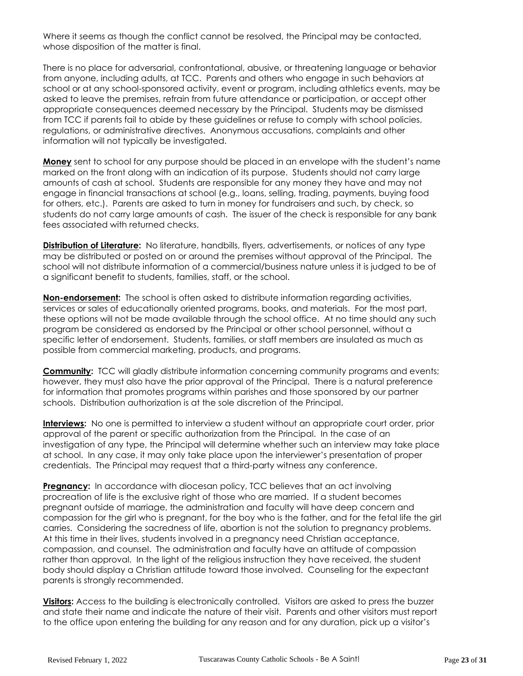Where it seems as though the conflict cannot be resolved, the Principal may be contacted, whose disposition of the matter is final.

There is no place for adversarial, confrontational, abusive, or threatening language or behavior from anyone, including adults, at TCC. Parents and others who engage in such behaviors at school or at any school-sponsored activity, event or program, including athletics events, may be asked to leave the premises, refrain from future attendance or participation, or accept other appropriate consequences deemed necessary by the Principal. Students may be dismissed from TCC if parents fail to abide by these guidelines or refuse to comply with school policies, regulations, or administrative directives. Anonymous accusations, complaints and other information will not typically be investigated.

**Money** sent to school for any purpose should be placed in an envelope with the student's name marked on the front along with an indication of its purpose. Students should not carry large amounts of cash at school. Students are responsible for any money they have and may not engage in financial transactions at school (e.g., loans, selling, trading, payments, buying food for others, etc.). Parents are asked to turn in money for fundraisers and such, by check, so students do not carry large amounts of cash. The issuer of the check is responsible for any bank fees associated with returned checks.

**Distribution of Literature:** No literature, handbills, flyers, advertisements, or notices of any type may be distributed or posted on or around the premises without approval of the Principal. The school will not distribute information of a commercial/business nature unless it is judged to be of a significant benefit to students, families, staff, or the school.

**Non-endorsement:** The school is often asked to distribute information regarding activities, services or sales of educationally oriented programs, books, and materials. For the most part, these options will not be made available through the school office. At no time should any such program be considered as endorsed by the Principal or other school personnel, without a specific letter of endorsement. Students, families, or staff members are insulated as much as possible from commercial marketing, products, and programs.

**Community:** TCC will gladly distribute information concerning community programs and events; however, they must also have the prior approval of the Principal. There is a natural preference for information that promotes programs within parishes and those sponsored by our partner schools. Distribution authorization is at the sole discretion of the Principal.

**Interviews:** No one is permitted to interview a student without an appropriate court order, prior approval of the parent or specific authorization from the Principal. In the case of an investigation of any type, the Principal will determine whether such an interview may take place at school. In any case, it may only take place upon the interviewer's presentation of proper credentials. The Principal may request that a third-party witness any conference.

**Pregnancy:** In accordance with diocesan policy, TCC believes that an act involving procreation of life is the exclusive right of those who are married. If a student becomes pregnant outside of marriage, the administration and faculty will have deep concern and compassion for the girl who is pregnant, for the boy who is the father, and for the fetal life the girl carries. Considering the sacredness of life, abortion is not the solution to pregnancy problems. At this time in their lives, students involved in a pregnancy need Christian acceptance, compassion, and counsel. The administration and faculty have an attitude of compassion rather than approval. In the light of the religious instruction they have received, the student body should display a Christian attitude toward those involved. Counseling for the expectant parents is strongly recommended.

**Visitors:** Access to the building is electronically controlled. Visitors are asked to press the buzzer and state their name and indicate the nature of their visit. Parents and other visitors must report to the office upon entering the building for any reason and for any duration, pick up a visitor's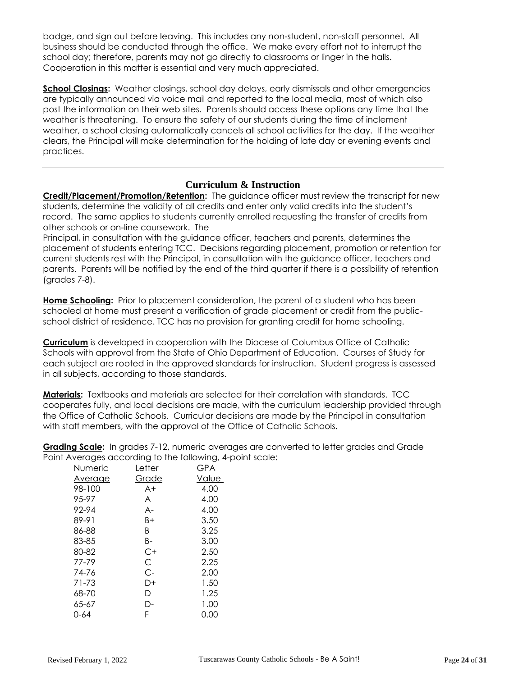badge, and sign out before leaving. This includes any non-student, non-staff personnel. All business should be conducted through the office. We make every effort not to interrupt the school day; therefore, parents may not go directly to classrooms or linger in the halls. Cooperation in this matter is essential and very much appreciated.

**School Closings:** Weather closings, school day delays, early dismissals and other emergencies are typically announced via voice mail and reported to the local media, most of which also post the information on their web sites. Parents should access these options any time that the weather is threatening. To ensure the safety of our students during the time of inclement weather, a school closing automatically cancels all school activities for the day. If the weather clears, the Principal will make determination for the holding of late day or evening events and practices.

## **Curriculum & Instruction**

**Credit/Placement/Promotion/Retention:** The guidance officer must review the transcript for new students, determine the validity of all credits and enter only valid credits into the student's record. The same applies to students currently enrolled requesting the transfer of credits from other schools or on-line coursework. The

Principal, in consultation with the guidance officer, teachers and parents, determines the placement of students entering TCC. Decisions regarding placement, promotion or retention for current students rest with the Principal, in consultation with the guidance officer, teachers and parents. Parents will be notified by the end of the third quarter if there is a possibility of retention (grades 7-8).

**Home Schooling:** Prior to placement consideration, the parent of a student who has been schooled at home must present a verification of grade placement or credit from the publicschool district of residence. TCC has no provision for granting credit for home schooling.

**Curriculum** is developed in cooperation with the Diocese of Columbus Office of Catholic Schools with approval from the State of Ohio Department of Education. Courses of Study for each subject are rooted in the approved standards for instruction. Student progress is assessed in all subjects, according to those standards.

**Materials:** Textbooks and materials are selected for their correlation with standards. TCC cooperates fully, and local decisions are made, with the curriculum leadership provided through the Office of Catholic Schools. Curricular decisions are made by the Principal in consultation with staff members, with the approval of the Office of Catholic Schools.

**Grading Scale:** In grades 7-12, numeric averages are converted to letter grades and Grade Point Averages according to the following, 4-point scale:

| Numeric        | Letter | <b>GPA</b> |
|----------------|--------|------------|
| <u>Average</u> | Grade  | Value      |
| 98-100         | $A+$   | 4.00       |
| 95-97          | A      | 4.00       |
| 92-94          | A-     | 4.00       |
| 89-91          | B+     | 3.50       |
| 86-88          | B      | 3.25       |
| 83-85          | B-     | 3.00       |
| 80-82          | C+     | 2.50       |
| 77-79          | C      | 2.25       |
| 74-76          | C-     | 2.00       |
| 71-73          | D+     | 1.50       |
| 68-70          | D      | 1.25       |
| 65-67          | D-     | 1.00       |
| 0-64           | F      | 0.00       |
|                |        |            |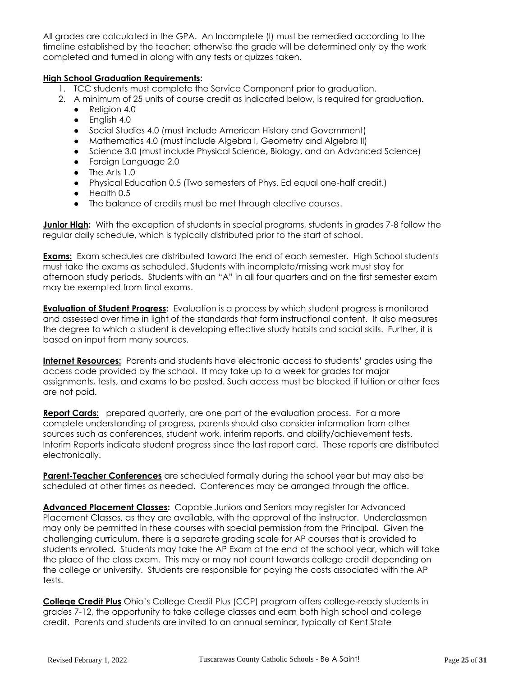All grades are calculated in the GPA. An Incomplete (I) must be remedied according to the timeline established by the teacher; otherwise the grade will be determined only by the work completed and turned in along with any tests or quizzes taken.

## **High School Graduation Requirements:**

- 1. TCC students must complete the Service Component prior to graduation.
- 2. A minimum of 25 units of course credit as indicated below, is required for graduation.
	- Religion 4.0
	- English 4.0
	- Social Studies 4.0 (must include American History and Government)
	- Mathematics 4.0 (must include Algebra I, Geometry and Algebra II)
	- Science 3.0 (must include Physical Science, Biology, and an Advanced Science)
	- Foreign Language 2.0
	- The Arts 1.0
	- Physical Education 0.5 (Two semesters of Phys. Ed equal one-half credit.)
	- Health 0.5
	- The balance of credits must be met through elective courses.

**Junior High:** With the exception of students in special programs, students in grades 7-8 follow the regular daily schedule, which is typically distributed prior to the start of school.

**Exams:** Exam schedules are distributed toward the end of each semester. High School students must take the exams as scheduled. Students with incomplete/missing work must stay for afternoon study periods. Students with an "A" in all four quarters and on the first semester exam may be exempted from final exams.

**Evaluation of Student Progress:** Evaluation is a process by which student progress is monitored and assessed over time in light of the standards that form instructional content. It also measures the degree to which a student is developing effective study habits and social skills. Further, it is based on input from many sources.

**Internet Resources:** Parents and students have electronic access to students' grades using the access code provided by the school. It may take up to a week for grades for major assignments, tests, and exams to be posted. Such access must be blocked if tuition or other fees are not paid.

**Report Cards:** prepared quarterly, are one part of the evaluation process. For a more complete understanding of progress, parents should also consider information from other sources such as conferences, student work, interim reports, and ability/achievement tests. Interim Reports indicate student progress since the last report card. These reports are distributed electronically.

**Parent-Teacher Conferences** are scheduled formally during the school year but may also be scheduled at other times as needed. Conferences may be arranged through the office.

**Advanced Placement Classes:** Capable Juniors and Seniors may register for Advanced Placement Classes, as they are available, with the approval of the instructor. Underclassmen may only be permitted in these courses with special permission from the Principal. Given the challenging curriculum, there is a separate grading scale for AP courses that is provided to students enrolled. Students may take the AP Exam at the end of the school year, which will take the place of the class exam. This may or may not count towards college credit depending on the college or university. Students are responsible for paying the costs associated with the AP tests.

**College Credit Plus** Ohio's College Credit Plus (CCP) program offers college-ready students in grades 7-12, the opportunity to take college classes and earn both high school and college credit. Parents and students are invited to an annual seminar, typically at Kent State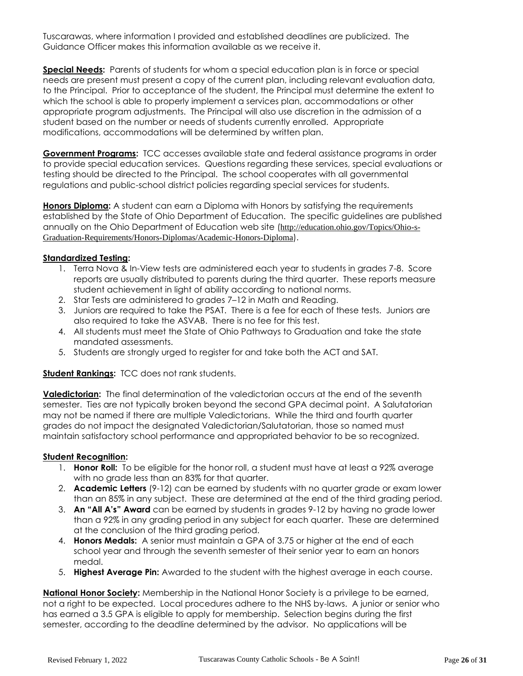Tuscarawas, where information I provided and established deadlines are publicized. The Guidance Officer makes this information available as we receive it.

**Special Needs:** Parents of students for whom a special education plan is in force or special needs are present must present a copy of the current plan, including relevant evaluation data, to the Principal. Prior to acceptance of the student, the Principal must determine the extent to which the school is able to properly implement a services plan, accommodations or other appropriate program adjustments. The Principal will also use discretion in the admission of a student based on the number or needs of students currently enrolled. Appropriate modifications, accommodations will be determined by written plan.

**Government Programs:** TCC accesses available state and federal assistance programs in order to provide special education services. Questions regarding these services, special evaluations or testing should be directed to the Principal. The school cooperates with all governmental regulations and public-school district policies regarding special services for students.

**Honors Diploma:** A student can earn a Diploma with Honors by satisfying the requirements established by the State of Ohio Department of Education. The specific guidelines are published annually on the Ohio Department of Education web site ([http://education.ohio.gov/Topics/Ohio-s-](http://education.ohio.gov/Topics/Ohio-s-Graduation-Requirements/Honors-Diplomas/Academic-Honors-Diploma)[Graduation-Requirements/Honors-Diplomas/Academic-Honors-Diploma](http://education.ohio.gov/Topics/Ohio-s-Graduation-Requirements/Honors-Diplomas/Academic-Honors-Diploma)).

## **Standardized Testing:**

- 1. Terra Nova & In-View tests are administered each year to students in grades 7-8. Score reports are usually distributed to parents during the third quarter. These reports measure student achievement in light of ability according to national norms.
- 2. Star Tests are administered to grades 7–12 in Math and Reading.
- 3. Juniors are required to take the PSAT. There is a fee for each of these tests. Juniors are also required to take the ASVAB. There is no fee for this test.
- 4. All students must meet the State of Ohio Pathways to Graduation and take the state mandated assessments.
- 5. Students are strongly urged to register for and take both the ACT and SAT.

## **Student Rankings:** TCC does not rank students.

**Valedictorian:** The final determination of the valedictorian occurs at the end of the seventh semester. Ties are not typically broken beyond the second GPA decimal point. A Salutatorian may not be named if there are multiple Valedictorians. While the third and fourth quarter grades do not impact the designated Valedictorian/Salutatorian, those so named must maintain satisfactory school performance and appropriated behavior to be so recognized.

#### **Student Recognition:**

- 1. **Honor Roll:** To be eligible for the honor roll, a student must have at least a 92% average with no grade less than an 83% for that quarter.
- 2. **Academic Letters** (9-12) can be earned by students with no quarter grade or exam lower than an 85% in any subject. These are determined at the end of the third grading period.
- 3. **An "All A's" Award** can be earned by students in grades 9-12 by having no grade lower than a 92% in any grading period in any subject for each quarter. These are determined at the conclusion of the third grading period.
- 4. **Honors Medals:** A senior must maintain a GPA of 3.75 or higher at the end of each school year and through the seventh semester of their senior year to earn an honors medal.
- 5. **Highest Average Pin:** Awarded to the student with the highest average in each course.

**National Honor Society:** Membership in the National Honor Society is a privilege to be earned, not a right to be expected. Local procedures adhere to the NHS by-laws. A junior or senior who has earned a 3.5 GPA is eligible to apply for membership. Selection begins during the first semester, according to the deadline determined by the advisor. No applications will be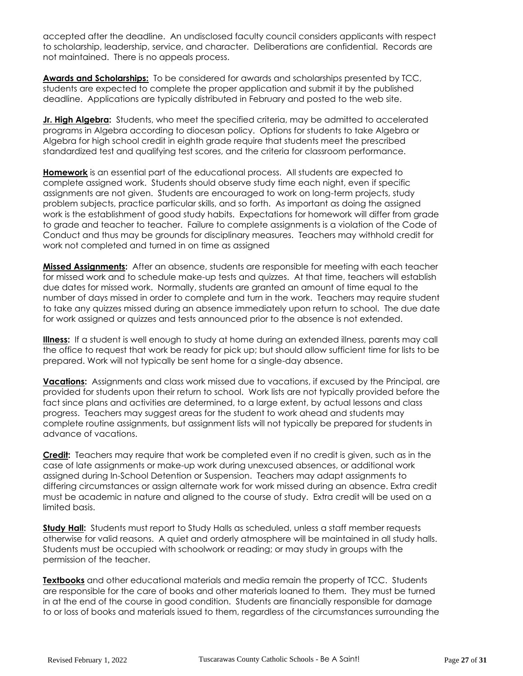accepted after the deadline. An undisclosed faculty council considers applicants with respect to scholarship, leadership, service, and character. Deliberations are confidential. Records are not maintained. There is no appeals process.

**Awards and Scholarships:** To be considered for awards and scholarships presented by TCC, students are expected to complete the proper application and submit it by the published deadline. Applications are typically distributed in February and posted to the web site.

**Jr. High Algebra:** Students, who meet the specified criteria, may be admitted to accelerated programs in Algebra according to diocesan policy. Options for students to take Algebra or Algebra for high school credit in eighth grade require that students meet the prescribed standardized test and qualifying test scores, and the criteria for classroom performance.

**Homework** is an essential part of the educational process. All students are expected to complete assigned work. Students should observe study time each night, even if specific assignments are not given. Students are encouraged to work on long-term projects, study problem subjects, practice particular skills, and so forth. As important as doing the assigned work is the establishment of good study habits. Expectations for homework will differ from grade to grade and teacher to teacher. Failure to complete assignments is a violation of the Code of Conduct and thus may be grounds for disciplinary measures. Teachers may withhold credit for work not completed and turned in on time as assigned

**Missed Assignments:** After an absence, students are responsible for meeting with each teacher for missed work and to schedule make-up tests and quizzes. At that time, teachers will establish due dates for missed work. Normally, students are granted an amount of time equal to the number of days missed in order to complete and turn in the work. Teachers may require student to take any quizzes missed during an absence immediately upon return to school. The due date for work assigned or quizzes and tests announced prior to the absence is not extended.

**Illness:** If a student is well enough to study at home during an extended illness, parents may call the office to request that work be ready for pick up; but should allow sufficient time for lists to be prepared. Work will not typically be sent home for a single-day absence.

**Vacations:** Assignments and class work missed due to vacations, if excused by the Principal, are provided for students upon their return to school. Work lists are not typically provided before the fact since plans and activities are determined, to a large extent, by actual lessons and class progress. Teachers may suggest areas for the student to work ahead and students may complete routine assignments, but assignment lists will not typically be prepared for students in advance of vacations.

**Credit:** Teachers may require that work be completed even if no credit is given, such as in the case of late assignments or make-up work during unexcused absences, or additional work assigned during In-School Detention or Suspension. Teachers may adapt assignments to differing circumstances or assign alternate work for work missed during an absence. Extra credit must be academic in nature and aligned to the course of study. Extra credit will be used on a limited basis.

**Study Hall:** Students must report to Study Halls as scheduled, unless a staff member requests otherwise for valid reasons. A quiet and orderly atmosphere will be maintained in all study halls. Students must be occupied with schoolwork or reading; or may study in groups with the permission of the teacher.

**Textbooks** and other educational materials and media remain the property of TCC. Students are responsible for the care of books and other materials loaned to them. They must be turned in at the end of the course in good condition. Students are financially responsible for damage to or loss of books and materials issued to them, regardless of the circumstances surrounding the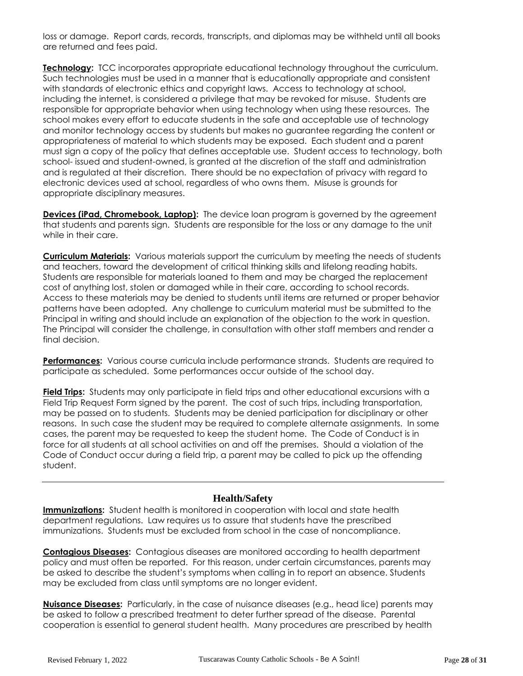loss or damage. Report cards, records, transcripts, and diplomas may be withheld until all books are returned and fees paid.

**Technology:** TCC incorporates appropriate educational technology throughout the curriculum. Such technologies must be used in a manner that is educationally appropriate and consistent with standards of electronic ethics and copyright laws. Access to technology at school, including the internet, is considered a privilege that may be revoked for misuse. Students are responsible for appropriate behavior when using technology when using these resources. The school makes every effort to educate students in the safe and acceptable use of technology and monitor technology access by students but makes no guarantee regarding the content or appropriateness of material to which students may be exposed. Each student and a parent must sign a copy of the policy that defines acceptable use. Student access to technology, both school- issued and student-owned, is granted at the discretion of the staff and administration and is regulated at their discretion. There should be no expectation of privacy with regard to electronic devices used at school, regardless of who owns them. Misuse is grounds for appropriate disciplinary measures.

**Devices (iPad, Chromebook, Laptop):** The device loan program is governed by the agreement that students and parents sign. Students are responsible for the loss or any damage to the unit while in their care.

**Curriculum Materials:** Various materials support the curriculum by meeting the needs of students and teachers, toward the development of critical thinking skills and lifelong reading habits. Students are responsible for materials loaned to them and may be charged the replacement cost of anything lost, stolen or damaged while in their care, according to school records. Access to these materials may be denied to students until items are returned or proper behavior patterns have been adopted. Any challenge to curriculum material must be submitted to the Principal in writing and should include an explanation of the objection to the work in question. The Principal will consider the challenge, in consultation with other staff members and render a final decision.

**Performances:** Various course curricula include performance strands. Students are required to participate as scheduled. Some performances occur outside of the school day.

**Field Trips:** Students may only participate in field trips and other educational excursions with a Field Trip Request Form signed by the parent. The cost of such trips, including transportation, may be passed on to students. Students may be denied participation for disciplinary or other reasons. In such case the student may be required to complete alternate assignments. In some cases, the parent may be requested to keep the student home. The Code of Conduct is in force for all students at all school activities on and off the premises. Should a violation of the Code of Conduct occur during a field trip, a parent may be called to pick up the offending student.

## **Health/Safety**

**Immunizations:** Student health is monitored in cooperation with local and state health department regulations. Law requires us to assure that students have the prescribed immunizations. Students must be excluded from school in the case of noncompliance.

**Contagious Diseases:** Contagious diseases are monitored according to health department policy and must often be reported. For this reason, under certain circumstances, parents may be asked to describe the student's symptoms when calling in to report an absence. Students may be excluded from class until symptoms are no longer evident.

**Nuisance Diseases:** Particularly, in the case of nuisance diseases (e.g., head lice) parents may be asked to follow a prescribed treatment to deter further spread of the disease. Parental cooperation is essential to general student health. Many procedures are prescribed by health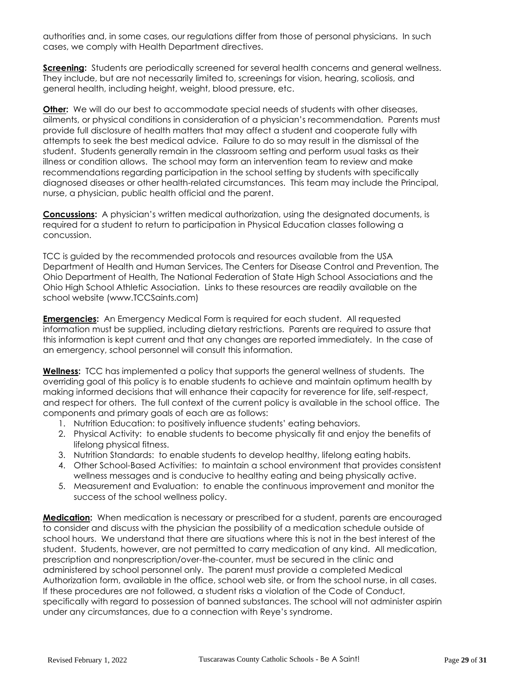authorities and, in some cases, our regulations differ from those of personal physicians. In such cases, we comply with Health Department directives.

**Screening:** Students are periodically screened for several health concerns and general wellness. They include, but are not necessarily limited to, screenings for vision, hearing, scoliosis, and general health, including height, weight, blood pressure, etc.

**Other:** We will do our best to accommodate special needs of students with other diseases, ailments, or physical conditions in consideration of a physician's recommendation. Parents must provide full disclosure of health matters that may affect a student and cooperate fully with attempts to seek the best medical advice. Failure to do so may result in the dismissal of the student. Students generally remain in the classroom setting and perform usual tasks as their illness or condition allows. The school may form an intervention team to review and make recommendations regarding participation in the school setting by students with specifically diagnosed diseases or other health-related circumstances. This team may include the Principal, nurse, a physician, public health official and the parent.

**Concussions:** A physician's written medical authorization, using the designated documents, is required for a student to return to participation in Physical Education classes following a concussion.

TCC is guided by the recommended protocols and resources available from the USA Department of Health and Human Services, The Centers for Disease Control and Prevention, The Ohio Department of Health, The National Federation of State High School Associations and the Ohio High School Athletic Association. Links to these resources are readily available on the school website (www.TCCSaints.com)

**Emergencies:** An Emergency Medical Form is required for each student. All requested information must be supplied, including dietary restrictions. Parents are required to assure that this information is kept current and that any changes are reported immediately. In the case of an emergency, school personnel will consult this information.

**Wellness:** TCC has implemented a policy that supports the general wellness of students. The overriding goal of this policy is to enable students to achieve and maintain optimum health by making informed decisions that will enhance their capacity for reverence for life, self-respect, and respect for others. The full context of the current policy is available in the school office. The components and primary goals of each are as follows:

- 1. Nutrition Education: to positively influence students' eating behaviors.
- 2. Physical Activity: to enable students to become physically fit and enjoy the benefits of lifelong physical fitness.
- 3. Nutrition Standards: to enable students to develop healthy, lifelong eating habits.
- 4. Other School-Based Activities: to maintain a school environment that provides consistent wellness messages and is conducive to healthy eating and being physically active.
- 5. Measurement and Evaluation: to enable the continuous improvement and monitor the success of the school wellness policy.

**Medication:** When medication is necessary or prescribed for a student, parents are encouraged to consider and discuss with the physician the possibility of a medication schedule outside of school hours. We understand that there are situations where this is not in the best interest of the student. Students, however, are not permitted to carry medication of any kind. All medication, prescription and nonprescription/over-the-counter, must be secured in the clinic and administered by school personnel only. The parent must provide a completed Medical Authorization form, available in the office, school web site, or from the school nurse, in all cases. If these procedures are not followed, a student risks a violation of the Code of Conduct, specifically with regard to possession of banned substances. The school will not administer aspirin under any circumstances, due to a connection with Reye's syndrome.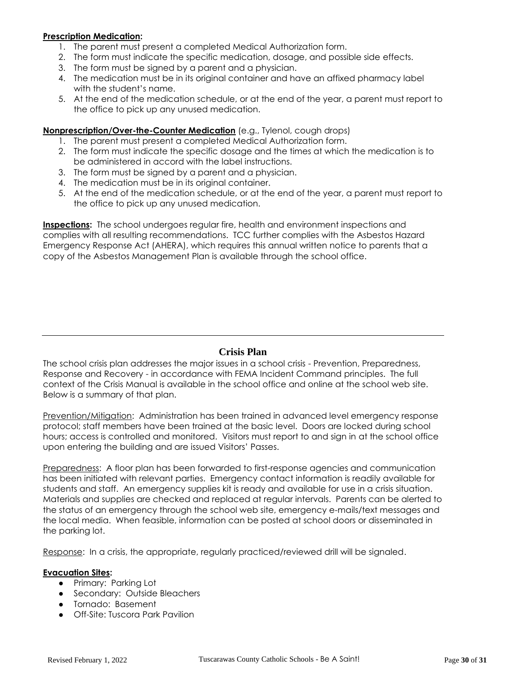#### **Prescription Medication:**

- 1. The parent must present a completed Medical Authorization form.
- 2. The form must indicate the specific medication, dosage, and possible side effects.
- 3. The form must be signed by a parent and a physician.
- 4. The medication must be in its original container and have an affixed pharmacy label with the student's name.
- 5. At the end of the medication schedule, or at the end of the year, a parent must report to the office to pick up any unused medication.

#### **Nonprescription/Over-the-Counter Medication** (e.g., Tylenol, cough drops)

- 1. The parent must present a completed Medical Authorization form.
- 2. The form must indicate the specific dosage and the times at which the medication is to be administered in accord with the label instructions.
- 3. The form must be signed by a parent and a physician.
- 4. The medication must be in its original container.
- 5. At the end of the medication schedule, or at the end of the year, a parent must report to the office to pick up any unused medication.

**Inspections:** The school undergoes regular fire, health and environment inspections and complies with all resulting recommendations. TCC further complies with the Asbestos Hazard Emergency Response Act (AHERA), which requires this annual written notice to parents that a copy of the Asbestos Management Plan is available through the school office.

## **Crisis Plan**

The school crisis plan addresses the major issues in a school crisis - Prevention, Preparedness, Response and Recovery - in accordance with FEMA Incident Command principles. The full context of the Crisis Manual is available in the school office and online at the school web site. Below is a summary of that plan.

Prevention/Mitigation: Administration has been trained in advanced level emergency response protocol; staff members have been trained at the basic level. Doors are locked during school hours; access is controlled and monitored. Visitors must report to and sign in at the school office upon entering the building and are issued Visitors' Passes.

Preparedness: A floor plan has been forwarded to first-response agencies and communication has been initiated with relevant parties. Emergency contact information is readily available for students and staff. An emergency supplies kit is ready and available for use in a crisis situation. Materials and supplies are checked and replaced at regular intervals. Parents can be alerted to the status of an emergency through the school web site, emergency e-mails/text messages and the local media. When feasible, information can be posted at school doors or disseminated in the parking lot.

Response: In a crisis, the appropriate, regularly practiced/reviewed drill will be signaled.

#### **Evacuation Sites:**

- Primary: Parking Lot
- Secondary: Outside Bleachers
- Tornado: Basement
- Off-Site: Tuscora Park Pavilion